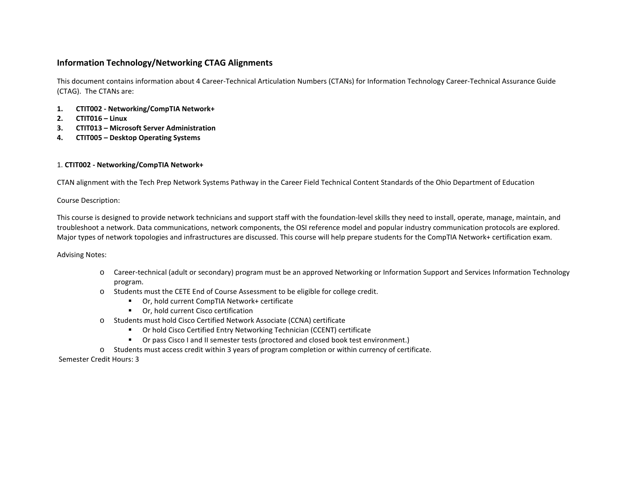# **Information Technology/Networking CTAG Alignments**

This document contains information about 4 Career-Technical Articulation Numbers (CTANs) for Information Technology Career-Technical Assurance Guide (CTAG). The CTANs are:

- **1. CTIT002 Networking/CompTIA Network+**
- **2. CTIT016 Linux**
- **3. CTIT013 Microsoft Server Administration**
- **4. CTIT005 Desktop Operating Systems**

#### 1. **CTIT002 - Networking/CompTIA Network+**

CTAN alignment with the Tech Prep Network Systems Pathway in the Career Field Technical Content Standards of the Ohio Department of Education

Course Description:

This course is designed to provide network technicians and support staff with the foundation-level skills they need to install, operate, manage, maintain, and troubleshoot a network. Data communications, network components, the OSI reference model and popular industry communication protocols are explored. Major types of network topologies and infrastructures are discussed. This course will help prepare students for the CompTIA Network+ certification exam.

Advising Notes:

- o Career-technical (adult or secondary) program must be an approved Networking or Information Support and Services Information Technology program.
- o Students must the CETE End of Course Assessment to be eligible for college credit.
	- Or, hold current CompTIA Network+ certificate
	- Or, hold current Cisco certification
- o Students must hold Cisco Certified Network Associate (CCNA) certificate
	- Or hold Cisco Certified Entry Networking Technician (CCENT) certificate
	- Or pass Cisco I and II semester tests (proctored and closed book test environment.)
- o Students must access credit within 3 years of program completion or within currency of certificate.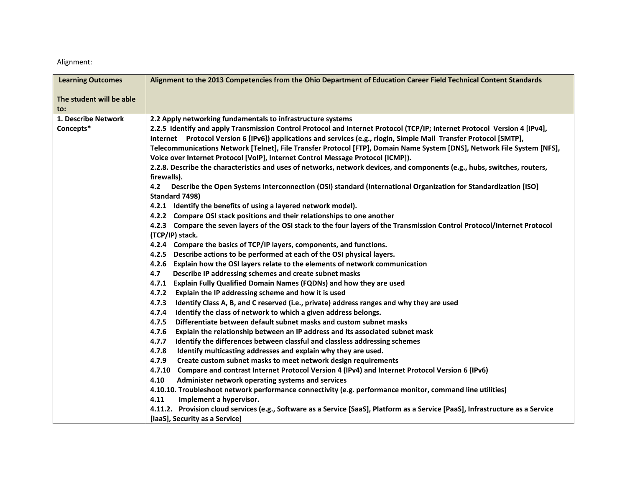| <b>Learning Outcomes</b> | Alignment to the 2013 Competencies from the Ohio Department of Education Career Field Technical Content Standards                       |
|--------------------------|-----------------------------------------------------------------------------------------------------------------------------------------|
| The student will be able |                                                                                                                                         |
| to:                      |                                                                                                                                         |
| 1. Describe Network      | 2.2 Apply networking fundamentals to infrastructure systems                                                                             |
| Concepts*                | 2.2.5 Identify and apply Transmission Control Protocol and Internet Protocol (TCP/IP; Internet Protocol Version 4 [IPv4],               |
|                          | Internet Protocol Version 6 [IPv6]) applications and services (e.g., rlogin, Simple Mail Transfer Protocol [SMTP],                      |
|                          | Telecommunications Network [Telnet], File Transfer Protocol [FTP], Domain Name System [DNS], Network File System [NFS],                 |
|                          | Voice over Internet Protocol [VoIP], Internet Control Message Protocol [ICMP]).                                                         |
|                          | 2.2.8. Describe the characteristics and uses of networks, network devices, and components (e.g., hubs, switches, routers,               |
|                          | firewalls).                                                                                                                             |
|                          | Describe the Open Systems Interconnection (OSI) standard (International Organization for Standardization [ISO]<br>4.2<br>Standard 7498) |
|                          | 4.2.1 Identify the benefits of using a layered network model).                                                                          |
|                          | 4.2.2 Compare OSI stack positions and their relationships to one another                                                                |
|                          | 4.2.3 Compare the seven layers of the OSI stack to the four layers of the Transmission Control Protocol/Internet Protocol               |
|                          | (TCP/IP) stack.                                                                                                                         |
|                          | 4.2.4 Compare the basics of TCP/IP layers, components, and functions.                                                                   |
|                          | 4.2.5 Describe actions to be performed at each of the OSI physical layers.                                                              |
|                          | 4.2.6 Explain how the OSI layers relate to the elements of network communication                                                        |
|                          | 4.7<br>Describe IP addressing schemes and create subnet masks                                                                           |
|                          | 4.7.1 Explain Fully Qualified Domain Names (FQDNs) and how they are used                                                                |
|                          | 4.7.2 Explain the IP addressing scheme and how it is used                                                                               |
|                          | 4.7.3<br>Identify Class A, B, and C reserved (i.e., private) address ranges and why they are used                                       |
|                          | 4.7.4<br>Identify the class of network to which a given address belongs.                                                                |
|                          | 4.7.5<br>Differentiate between default subnet masks and custom subnet masks                                                             |
|                          | 4.7.6<br>Explain the relationship between an IP address and its associated subnet mask                                                  |
|                          | 4.7.7<br>Identify the differences between classful and classless addressing schemes                                                     |
|                          | 4.7.8<br>Identify multicasting addresses and explain why they are used.                                                                 |
|                          | 4.7.9<br>Create custom subnet masks to meet network design requirements                                                                 |
|                          | 4.7.10 Compare and contrast Internet Protocol Version 4 (IPv4) and Internet Protocol Version 6 (IPv6)                                   |
|                          | 4.10<br>Administer network operating systems and services                                                                               |
|                          | 4.10.10. Troubleshoot network performance connectivity (e.g. performance monitor, command line utilities)                               |
|                          | 4.11<br>Implement a hypervisor.                                                                                                         |
|                          | 4.11.2. Provision cloud services (e.g., Software as a Service [SaaS], Platform as a Service [PaaS], Infrastructure as a Service         |
|                          | [laaS], Security as a Service)                                                                                                          |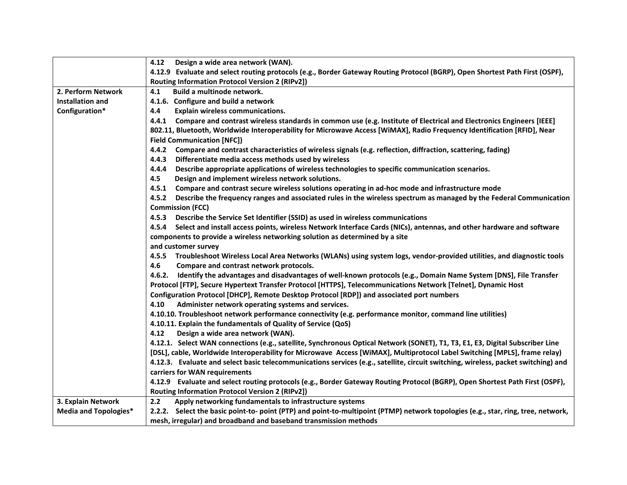|                              | 4.12 Design a wide area network (WAN).                                                                                             |  |  |  |
|------------------------------|------------------------------------------------------------------------------------------------------------------------------------|--|--|--|
|                              | 4.12.9 Evaluate and select routing protocols (e.g., Border Gateway Routing Protocol (BGRP), Open Shortest Path First (OSPF),       |  |  |  |
|                              | Routing Information Protocol Version 2 (RIPv2])                                                                                    |  |  |  |
| 2. Perform Network           | Build a multinode network.<br>4.1                                                                                                  |  |  |  |
| <b>Installation and</b>      | 4.1.6. Configure and build a network                                                                                               |  |  |  |
| Configuration*               | 4.4<br>Explain wireless communications.                                                                                            |  |  |  |
|                              | 4.4.1 Compare and contrast wireless standards in common use (e.g. Institute of Electrical and Electronics Engineers [IEEE]         |  |  |  |
|                              | 802.11, Bluetooth, Worldwide Interoperability for Microwave Access [WiMAX], Radio Frequency Identification [RFID], Near            |  |  |  |
|                              | <b>Field Communication [NFC])</b>                                                                                                  |  |  |  |
|                              | 4.4.2 Compare and contrast characteristics of wireless signals (e.g. reflection, diffraction, scattering, fading)                  |  |  |  |
|                              | 4.4.3<br>Differentiate media access methods used by wireless                                                                       |  |  |  |
|                              | Describe appropriate applications of wireless technologies to specific communication scenarios.<br>4.4.4                           |  |  |  |
|                              | 4.5<br>Design and implement wireless network solutions.                                                                            |  |  |  |
|                              | 4.5.1 Compare and contrast secure wireless solutions operating in ad-hoc mode and infrastructure mode                              |  |  |  |
|                              | 4.5.2 Describe the frequency ranges and associated rules in the wireless spectrum as managed by the Federal Communication          |  |  |  |
|                              | <b>Commission (FCC)</b>                                                                                                            |  |  |  |
|                              | 4.5.3 Describe the Service Set Identifier (SSID) as used in wireless communications                                                |  |  |  |
|                              | 4.5.4 Select and install access points, wireless Network Interface Cards (NICs), antennas, and other hardware and software         |  |  |  |
|                              | components to provide a wireless networking solution as determined by a site                                                       |  |  |  |
|                              | and customer survey                                                                                                                |  |  |  |
|                              | 4.5.5 Troubleshoot Wireless Local Area Networks (WLANs) using system logs, vendor-provided utilities, and diagnostic tools         |  |  |  |
|                              | 4.6<br>Compare and contrast network protocols.                                                                                     |  |  |  |
|                              | Identify the advantages and disadvantages of well-known protocols (e.g., Domain Name System [DNS], File Transfer<br>4.6.2.         |  |  |  |
|                              | Protocol [FTP], Secure Hypertext Transfer Protocol [HTTPS], Telecommunications Network [Telnet], Dynamic Host                      |  |  |  |
|                              | Configuration Protocol [DHCP], Remote Desktop Protocol [RDP]) and associated port numbers                                          |  |  |  |
|                              | Administer network operating systems and services.<br>4.10                                                                         |  |  |  |
|                              | 4.10.10. Troubleshoot network performance connectivity (e.g. performance monitor, command line utilities)                          |  |  |  |
|                              | 4.10.11. Explain the fundamentals of Quality of Service (QoS)                                                                      |  |  |  |
|                              | 4.12<br>Design a wide area network (WAN).                                                                                          |  |  |  |
|                              | 4.12.1. Select WAN connections (e.g., satellite, Synchronous Optical Network (SONET), T1, T3, E1, E3, Digital Subscriber Line      |  |  |  |
|                              | [DSL], cable, Worldwide Interoperability for Microwave Access [WiMAX], Multiprotocol Label Switching [MPLS], frame relay)          |  |  |  |
|                              | 4.12.3. Evaluate and select basic telecommunications services (e.g., satellite, circuit switching, wireless, packet switching) and |  |  |  |
|                              | carriers for WAN requirements                                                                                                      |  |  |  |
|                              | 4.12.9 Evaluate and select routing protocols (e.g., Border Gateway Routing Protocol (BGRP), Open Shortest Path First (OSPF),       |  |  |  |
|                              | Routing Information Protocol Version 2 (RIPv2])                                                                                    |  |  |  |
| 3. Explain Network           | 2.2<br>Apply networking fundamentals to infrastructure systems                                                                     |  |  |  |
| <b>Media and Topologies*</b> | 2.2.2. Select the basic point-to-point (PTP) and point-to-multipoint (PTMP) network topologies (e.g., star, ring, tree, network,   |  |  |  |
|                              | mesh, irregular) and broadband and baseband transmission methods                                                                   |  |  |  |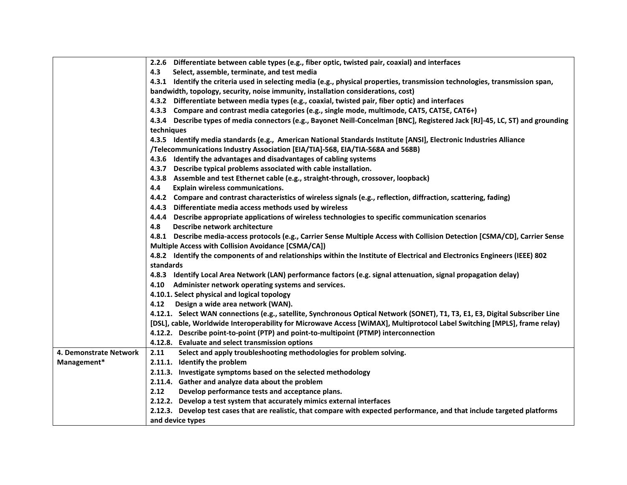|                        | 2.2.6 Differentiate between cable types (e.g., fiber optic, twisted pair, coaxial) and interfaces                             |
|------------------------|-------------------------------------------------------------------------------------------------------------------------------|
|                        | Select, assemble, terminate, and test media<br>4.3                                                                            |
|                        | 4.3.1 Identify the criteria used in selecting media (e.g., physical properties, transmission technologies, transmission span, |
|                        | bandwidth, topology, security, noise immunity, installation considerations, cost)                                             |
|                        | 4.3.2 Differentiate between media types (e.g., coaxial, twisted pair, fiber optic) and interfaces                             |
|                        | 4.3.3 Compare and contrast media categories (e.g., single mode, multimode, CAT5, CAT5E, CAT6+)                                |
|                        | 4.3.4 Describe types of media connectors (e.g., Bayonet Neill-Concelman [BNC], Registered Jack [RJ]-45, LC, ST) and grounding |
|                        | techniques                                                                                                                    |
|                        | 4.3.5 Identify media standards (e.g., American National Standards Institute [ANSI], Electronic Industries Alliance            |
|                        | /Telecommunications Industry Association [EIA/TIA]-568, EIA/TIA-568A and 568B)                                                |
|                        | 4.3.6 Identify the advantages and disadvantages of cabling systems                                                            |
|                        | 4.3.7 Describe typical problems associated with cable installation.                                                           |
|                        | 4.3.8 Assemble and test Ethernet cable (e.g., straight-through, crossover, loopback)                                          |
|                        | 4.4<br><b>Explain wireless communications.</b>                                                                                |
|                        | 4.4.2 Compare and contrast characteristics of wireless signals (e.g., reflection, diffraction, scattering, fading)            |
|                        | 4.4.3 Differentiate media access methods used by wireless                                                                     |
|                        | 4.4.4 Describe appropriate applications of wireless technologies to specific communication scenarios                          |
|                        | 4.8<br>Describe network architecture                                                                                          |
|                        | 4.8.1 Describe media-access protocols (e.g., Carrier Sense Multiple Access with Collision Detection [CSMA/CD], Carrier Sense  |
|                        | Multiple Access with Collision Avoidance [CSMA/CA])                                                                           |
|                        | 4.8.2 Identify the components of and relationships within the Institute of Electrical and Electronics Engineers (IEEE) 802    |
|                        | standards                                                                                                                     |
|                        | 4.8.3 Identify Local Area Network (LAN) performance factors (e.g. signal attenuation, signal propagation delay)               |
|                        | 4.10 Administer network operating systems and services.                                                                       |
|                        | 4.10.1. Select physical and logical topology                                                                                  |
|                        | Design a wide area network (WAN).<br>4.12                                                                                     |
|                        | 4.12.1. Select WAN connections (e.g., satellite, Synchronous Optical Network (SONET), T1, T3, E1, E3, Digital Subscriber Line |
|                        | [DSL], cable, Worldwide Interoperability for Microwave Access [WiMAX], Multiprotocol Label Switching [MPLS], frame relay)     |
|                        | 4.12.2. Describe point-to-point (PTP) and point-to-multipoint (PTMP) interconnection                                          |
|                        | 4.12.8. Evaluate and select transmission options                                                                              |
| 4. Demonstrate Network | 2.11<br>Select and apply troubleshooting methodologies for problem solving.                                                   |
| Management*            | 2.11.1. Identify the problem                                                                                                  |
|                        | 2.11.3. Investigate symptoms based on the selected methodology                                                                |
|                        | 2.11.4. Gather and analyze data about the problem                                                                             |
|                        | 2.12<br>Develop performance tests and acceptance plans.                                                                       |
|                        | 2.12.2. Develop a test system that accurately mimics external interfaces                                                      |
|                        | 2.12.3. Develop test cases that are realistic, that compare with expected performance, and that include targeted platforms    |
|                        | and device types                                                                                                              |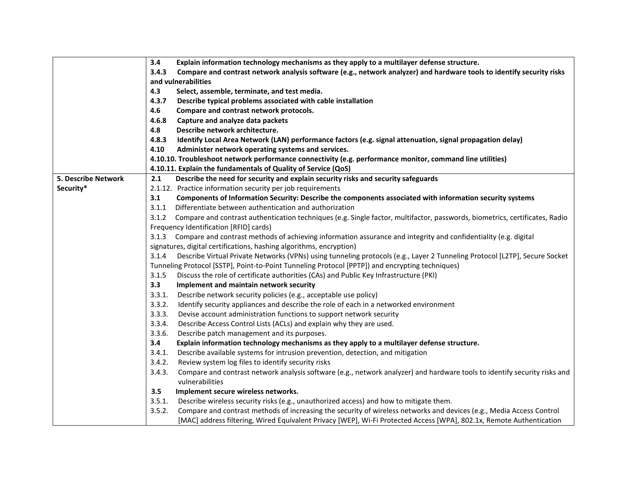|                            | 3.4<br>Explain information technology mechanisms as they apply to a multilayer defense structure.                                                      |  |
|----------------------------|--------------------------------------------------------------------------------------------------------------------------------------------------------|--|
|                            | Compare and contrast network analysis software (e.g., network analyzer) and hardware tools to identify security risks<br>3.4.3                         |  |
|                            | and vulnerabilities                                                                                                                                    |  |
|                            | 4.3<br>Select, assemble, terminate, and test media.                                                                                                    |  |
|                            | Describe typical problems associated with cable installation<br>4.3.7                                                                                  |  |
|                            | 4.6<br>Compare and contrast network protocols.                                                                                                         |  |
|                            | 4.6.8<br>Capture and analyze data packets                                                                                                              |  |
|                            | 4.8<br>Describe network architecture.                                                                                                                  |  |
|                            | 4.8.3<br>Identify Local Area Network (LAN) performance factors (e.g. signal attenuation, signal propagation delay)                                     |  |
|                            | 4.10<br>Administer network operating systems and services.                                                                                             |  |
|                            | 4.10.10. Troubleshoot network performance connectivity (e.g. performance monitor, command line utilities)                                              |  |
|                            | 4.10.11. Explain the fundamentals of Quality of Service (QoS)                                                                                          |  |
| <b>5. Describe Network</b> | 2.1<br>Describe the need for security and explain security risks and security safeguards                                                               |  |
| Security*                  | 2.1.12. Practice information security per job requirements                                                                                             |  |
|                            | 3.1<br>Components of Information Security: Describe the components associated with information security systems                                        |  |
|                            | Differentiate between authentication and authorization<br>3.1.1                                                                                        |  |
|                            | 3.1.2 Compare and contrast authentication techniques (e.g. Single factor, multifactor, passwords, biometrics, certificates, Radio                      |  |
|                            | Frequency Identification [RFID] cards)                                                                                                                 |  |
|                            | 3.1.3 Compare and contrast methods of achieving information assurance and integrity and confidentiality (e.g. digital                                  |  |
|                            | signatures, digital certifications, hashing algorithms, encryption)                                                                                    |  |
|                            | Describe Virtual Private Networks (VPNs) using tunneling protocols (e.g., Layer 2 Tunneling Protocol [L2TP], Secure Socket<br>3.1.4                    |  |
|                            | Tunneling Protocol [SSTP], Point-to-Point Tunneling Protocol [PPTP]) and encrypting techniques)                                                        |  |
|                            | Discuss the role of certificate authorities (CAs) and Public Key Infrastructure (PKI)<br>3.1.5                                                         |  |
|                            | 3.3<br>Implement and maintain network security                                                                                                         |  |
|                            | 3.3.1.<br>Describe network security policies (e.g., acceptable use policy)                                                                             |  |
|                            | 3.3.2.<br>Identify security appliances and describe the role of each in a networked environment                                                        |  |
|                            | 3.3.3.<br>Devise account administration functions to support network security                                                                          |  |
|                            | 3.3.4.<br>Describe Access Control Lists (ACLs) and explain why they are used.                                                                          |  |
|                            | Describe patch management and its purposes.<br>3.3.6.                                                                                                  |  |
|                            | Explain information technology mechanisms as they apply to a multilayer defense structure.<br>3.4                                                      |  |
|                            | Describe available systems for intrusion prevention, detection, and mitigation<br>3.4.1.                                                               |  |
|                            | 3.4.2.<br>Review system log files to identify security risks                                                                                           |  |
|                            | Compare and contrast network analysis software (e.g., network analyzer) and hardware tools to identify security risks and<br>3.4.3.<br>vulnerabilities |  |
|                            | 3.5<br>Implement secure wireless networks.                                                                                                             |  |
|                            | Describe wireless security risks (e.g., unauthorized access) and how to mitigate them.<br>3.5.1.                                                       |  |
|                            | 3.5.2.<br>Compare and contrast methods of increasing the security of wireless networks and devices (e.g., Media Access Control                         |  |
|                            | [MAC] address filtering, Wired Equivalent Privacy [WEP], Wi-Fi Protected Access [WPA], 802.1x, Remote Authentication                                   |  |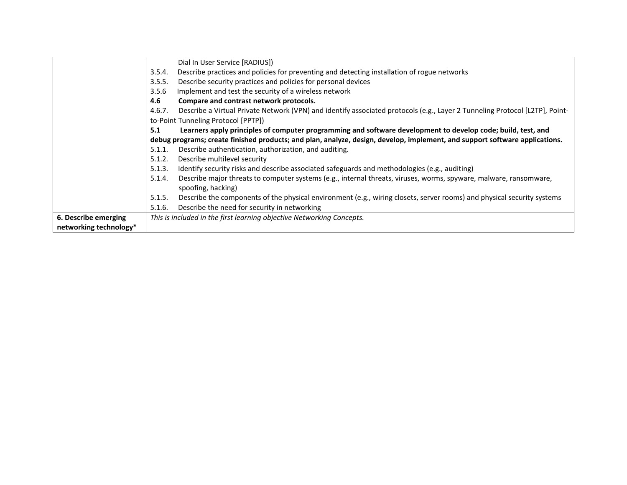|                        |        | Dial In User Service [RADIUS])                                                                                              |
|------------------------|--------|-----------------------------------------------------------------------------------------------------------------------------|
|                        | 3.5.4. | Describe practices and policies for preventing and detecting installation of rogue networks                                 |
|                        | 3.5.5. | Describe security practices and policies for personal devices                                                               |
|                        | 3.5.6  | Implement and test the security of a wireless network                                                                       |
|                        | 4.6    | Compare and contrast network protocols.                                                                                     |
|                        | 4.6.7. | Describe a Virtual Private Network (VPN) and identify associated protocols (e.g., Layer 2 Tunneling Protocol [L2TP], Point- |
|                        |        | to-Point Tunneling Protocol [PPTP])                                                                                         |
|                        | 5.1    | Learners apply principles of computer programming and software development to develop code; build, test, and                |
|                        |        | debug programs; create finished products; and plan, analyze, design, develop, implement, and support software applications. |
|                        | 5.1.1. | Describe authentication, authorization, and auditing.                                                                       |
|                        | 5.1.2. | Describe multilevel security                                                                                                |
|                        | 5.1.3. | Identify security risks and describe associated safeguards and methodologies (e.g., auditing)                               |
|                        | 5.1.4. | Describe major threats to computer systems (e.g., internal threats, viruses, worms, spyware, malware, ransomware,           |
|                        |        | spoofing, hacking)                                                                                                          |
|                        | 5.1.5. | Describe the components of the physical environment (e.g., wiring closets, server rooms) and physical security systems      |
|                        | 5.1.6. | Describe the need for security in networking                                                                                |
| 6. Describe emerging   |        | This is included in the first learning objective Networking Concepts.                                                       |
| networking technology* |        |                                                                                                                             |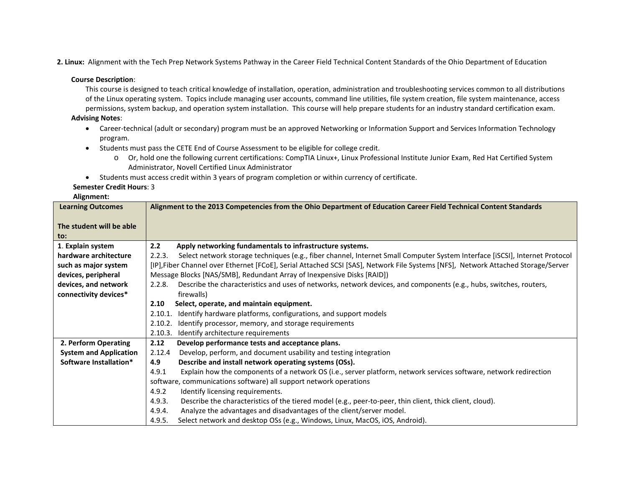**2. Linux:** Alignment with the Tech Prep Network Systems Pathway in the Career Field Technical Content Standards of the Ohio Department of Education

#### **Course Description**:

This course is designed to teach critical knowledge of installation, operation, administration and troubleshooting services common to all distributions of the Linux operating system. Topics include managing user accounts, command line utilities, file system creation, file system maintenance, access permissions, system backup, and operation system installation. This course will help prepare students for an industry standard certification exam.

#### **Advising Notes**:

- Career-technical (adult or secondary) program must be an approved Networking or Information Support and Services Information Technology program.
- Students must pass the CETE End of Course Assessment to be eligible for college credit.
	- o Or, hold one the following current certifications: CompTIA Linux+, Linux Professional Institute Junior Exam, Red Hat Certified System Administrator, Novell Certified Linux Administrator
- Students must access credit within 3 years of program completion or within currency of certificate.

#### **Semester Credit Hours**: 3

| <b>Learning Outcomes</b>        | Alignment to the 2013 Competencies from the Ohio Department of Education Career Field Technical Content Standards                     |  |
|---------------------------------|---------------------------------------------------------------------------------------------------------------------------------------|--|
| The student will be able<br>to: |                                                                                                                                       |  |
| 1. Explain system               | 2.2<br>Apply networking fundamentals to infrastructure systems.                                                                       |  |
| hardware architecture           | Select network storage techniques (e.g., fiber channel, Internet Small Computer System Interface [iSCSI], Internet Protocol<br>2.2.3. |  |
| such as major system            | [IP], Fiber Channel over Ethernet [FCoE], Serial Attached SCSI [SAS], Network File Systems [NFS], Network Attached Storage/Server     |  |
| devices, peripheral             | Message Blocks [NAS/SMB], Redundant Array of Inexpensive Disks [RAID])                                                                |  |
| devices, and network            | Describe the characteristics and uses of networks, network devices, and components (e.g., hubs, switches, routers,<br>2.2.8.          |  |
| connectivity devices*           | firewalls)                                                                                                                            |  |
|                                 | Select, operate, and maintain equipment.<br>2.10                                                                                      |  |
|                                 | Identify hardware platforms, configurations, and support models<br>2.10.1.                                                            |  |
|                                 | Identify processor, memory, and storage requirements<br>2.10.2.                                                                       |  |
|                                 | 2.10.3.<br>Identify architecture requirements                                                                                         |  |
| 2. Perform Operating            | 2.12<br>Develop performance tests and acceptance plans.                                                                               |  |
| <b>System and Application</b>   | Develop, perform, and document usability and testing integration<br>2.12.4                                                            |  |
| Software Installation*          | Describe and install network operating systems (OSs).<br>4.9                                                                          |  |
|                                 | Explain how the components of a network OS (i.e., server platform, network services software, network redirection<br>4.9.1            |  |
|                                 | software, communications software) all support network operations                                                                     |  |
|                                 | Identify licensing requirements.<br>4.9.2                                                                                             |  |
|                                 | Describe the characteristics of the tiered model (e.g., peer-to-peer, thin client, thick client, cloud).<br>4.9.3.                    |  |
|                                 | Analyze the advantages and disadvantages of the client/server model.<br>4.9.4.                                                        |  |
|                                 | Select network and desktop OSs (e.g., Windows, Linux, MacOS, iOS, Android).<br>4.9.5.                                                 |  |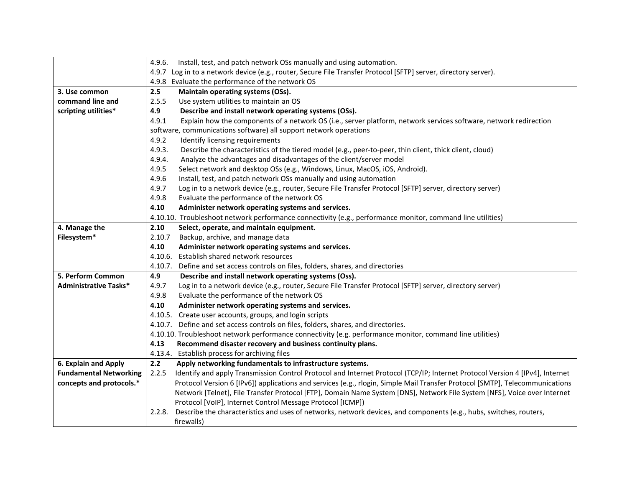|                               | Install, test, and patch network OSs manually and using automation.<br>4.9.6.                                                         |  |
|-------------------------------|---------------------------------------------------------------------------------------------------------------------------------------|--|
|                               | 4.9.7 Log in to a network device (e.g., router, Secure File Transfer Protocol [SFTP] server, directory server).                       |  |
|                               | 4.9.8 Evaluate the performance of the network OS                                                                                      |  |
| 3. Use common                 | 2.5<br>Maintain operating systems (OSs).                                                                                              |  |
| command line and              | 2.5.5<br>Use system utilities to maintain an OS                                                                                       |  |
| scripting utilities*          | 4.9<br>Describe and install network operating systems (OSs).                                                                          |  |
|                               | 4.9.1<br>Explain how the components of a network OS (i.e., server platform, network services software, network redirection            |  |
|                               | software, communications software) all support network operations                                                                     |  |
|                               | 4.9.2<br>Identify licensing requirements                                                                                              |  |
|                               | 4.9.3.<br>Describe the characteristics of the tiered model (e.g., peer-to-peer, thin client, thick client, cloud)                     |  |
|                               | 4.9.4.<br>Analyze the advantages and disadvantages of the client/server model                                                         |  |
|                               | 4.9.5<br>Select network and desktop OSs (e.g., Windows, Linux, MacOS, iOS, Android).                                                  |  |
|                               | 4.9.6<br>Install, test, and patch network OSs manually and using automation                                                           |  |
|                               | 4.9.7<br>Log in to a network device (e.g., router, Secure File Transfer Protocol [SFTP] server, directory server)                     |  |
|                               | 4.9.8<br>Evaluate the performance of the network OS                                                                                   |  |
|                               | 4.10<br>Administer network operating systems and services.                                                                            |  |
|                               | 4.10.10. Troubleshoot network performance connectivity (e.g., performance monitor, command line utilities)                            |  |
| 4. Manage the                 | 2.10<br>Select, operate, and maintain equipment.                                                                                      |  |
| Filesystem*                   | 2.10.7<br>Backup, archive, and manage data                                                                                            |  |
|                               | 4.10<br>Administer network operating systems and services.                                                                            |  |
|                               | 4.10.6.<br>Establish shared network resources                                                                                         |  |
|                               | Define and set access controls on files, folders, shares, and directories<br>4.10.7.                                                  |  |
| 5. Perform Common             | 4.9<br>Describe and install network operating systems (Oss).                                                                          |  |
| <b>Administrative Tasks*</b>  | Log in to a network device (e.g., router, Secure File Transfer Protocol [SFTP] server, directory server)<br>4.9.7                     |  |
|                               | 4.9.8<br>Evaluate the performance of the network OS                                                                                   |  |
|                               | 4.10<br>Administer network operating systems and services.                                                                            |  |
|                               | 4.10.5. Create user accounts, groups, and login scripts                                                                               |  |
|                               | 4.10.7. Define and set access controls on files, folders, shares, and directories.                                                    |  |
|                               | 4.10.10. Troubleshoot network performance connectivity (e.g. performance monitor, command line utilities)                             |  |
|                               | 4.13<br>Recommend disaster recovery and business continuity plans.                                                                    |  |
|                               | 4.13.4. Establish process for archiving files                                                                                         |  |
| 6. Explain and Apply          | 2.2<br>Apply networking fundamentals to infrastructure systems.                                                                       |  |
| <b>Fundamental Networking</b> | 2.2.5<br>Identify and apply Transmission Control Protocol and Internet Protocol (TCP/IP; Internet Protocol Version 4 [IPv4], Internet |  |
| concepts and protocols.*      | Protocol Version 6 [IPv6]) applications and services (e.g., rlogin, Simple Mail Transfer Protocol [SMTP], Telecommunications          |  |
|                               | Network [Telnet], File Transfer Protocol [FTP], Domain Name System [DNS], Network File System [NFS], Voice over Internet              |  |
|                               | Protocol [VoIP], Internet Control Message Protocol [ICMP])                                                                            |  |
|                               | Describe the characteristics and uses of networks, network devices, and components (e.g., hubs, switches, routers,<br>2.2.8.          |  |
|                               | firewalls)                                                                                                                            |  |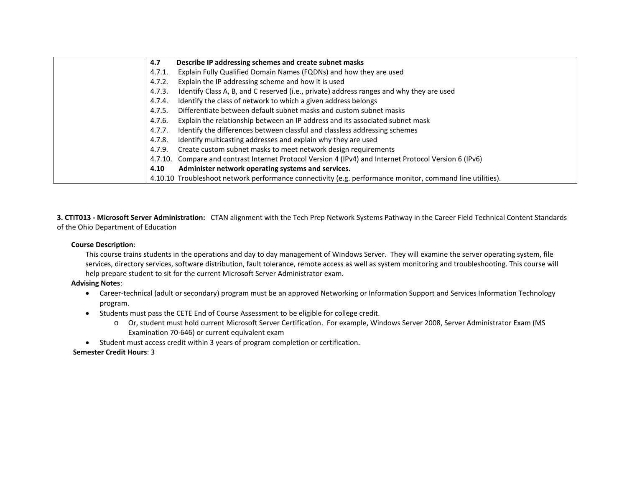| 4.7     | Describe IP addressing schemes and create subnet masks                                                    |
|---------|-----------------------------------------------------------------------------------------------------------|
| 4.7.1.  | Explain Fully Qualified Domain Names (FQDNs) and how they are used                                        |
| 4.7.2.  | Explain the IP addressing scheme and how it is used                                                       |
| 4.7.3.  | Identify Class A, B, and C reserved (i.e., private) address ranges and why they are used                  |
| 4.7.4.  | Identify the class of network to which a given address belongs                                            |
| 4.7.5.  | Differentiate between default subnet masks and custom subnet masks                                        |
| 4.7.6.  | Explain the relationship between an IP address and its associated subnet mask                             |
| 4.7.7.  | Identify the differences between classful and classless addressing schemes                                |
| 4.7.8.  | Identify multicasting addresses and explain why they are used                                             |
| 4.7.9.  | Create custom subnet masks to meet network design requirements                                            |
| 4.7.10. | Compare and contrast Internet Protocol Version 4 (IPv4) and Internet Protocol Version 6 (IPv6)            |
| 4.10    | Administer network operating systems and services.                                                        |
|         | 4.10.10 Troubleshoot network performance connectivity (e.g. performance monitor, command line utilities). |

**3. CTIT013 - Microsoft Server Administration:** CTAN alignment with the Tech Prep Network Systems Pathway in the Career Field Technical Content Standards of the Ohio Department of Education

## **Course Description**:

This course trains students in the operations and day to day management of Windows Server. They will examine the server operating system, file services, directory services, software distribution, fault tolerance, remote access as well as system monitoring and troubleshooting. This course will help prepare student to sit for the current Microsoft Server Administrator exam.

# **Advising Notes**:

- Career-technical (adult or secondary) program must be an approved Networking or Information Support and Services Information Technology program.
- Students must pass the CETE End of Course Assessment to be eligible for college credit.
	- o Or, student must hold current Microsoft Server Certification. For example, Windows Server 2008, Server Administrator Exam (MS Examination 70-646) or current equivalent exam
- Student must access credit within 3 years of program completion or certification.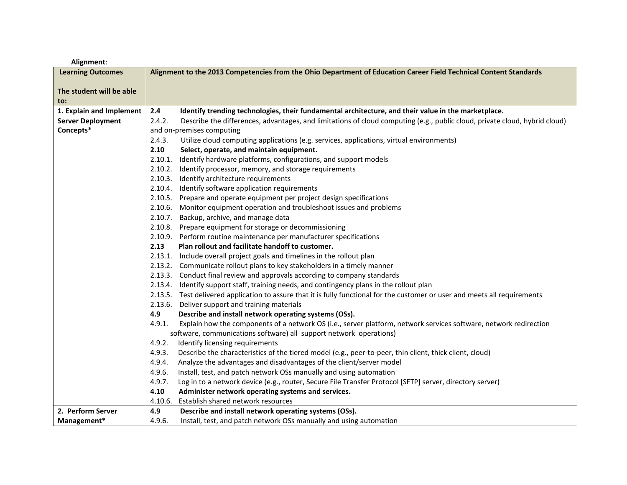| Alignment:               |                                                                                                                                      |  |
|--------------------------|--------------------------------------------------------------------------------------------------------------------------------------|--|
| <b>Learning Outcomes</b> | Alignment to the 2013 Competencies from the Ohio Department of Education Career Field Technical Content Standards                    |  |
|                          |                                                                                                                                      |  |
| The student will be able |                                                                                                                                      |  |
| to:                      |                                                                                                                                      |  |
| 1. Explain and Implement | 2.4<br>Identify trending technologies, their fundamental architecture, and their value in the marketplace.                           |  |
| <b>Server Deployment</b> | 2.4.2.<br>Describe the differences, advantages, and limitations of cloud computing (e.g., public cloud, private cloud, hybrid cloud) |  |
| Concepts*                | and on-premises computing                                                                                                            |  |
|                          | 2.4.3.<br>Utilize cloud computing applications (e.g. services, applications, virtual environments)                                   |  |
|                          | 2.10<br>Select, operate, and maintain equipment.                                                                                     |  |
|                          | Identify hardware platforms, configurations, and support models<br>2.10.1.                                                           |  |
|                          | 2.10.2.<br>Identify processor, memory, and storage requirements                                                                      |  |
|                          | 2.10.3. Identify architecture requirements                                                                                           |  |
|                          | 2.10.4. Identify software application requirements                                                                                   |  |
|                          | 2.10.5. Prepare and operate equipment per project design specifications                                                              |  |
|                          | 2.10.6. Monitor equipment operation and troubleshoot issues and problems                                                             |  |
|                          | 2.10.7. Backup, archive, and manage data                                                                                             |  |
|                          | 2.10.8. Prepare equipment for storage or decommissioning                                                                             |  |
|                          | 2.10.9. Perform routine maintenance per manufacturer specifications                                                                  |  |
|                          | 2.13<br>Plan rollout and facilitate handoff to customer.                                                                             |  |
|                          | 2.13.1. Include overall project goals and timelines in the rollout plan                                                              |  |
|                          | 2.13.2. Communicate rollout plans to key stakeholders in a timely manner                                                             |  |
|                          | 2.13.3. Conduct final review and approvals according to company standards                                                            |  |
|                          | 2.13.4. Identify support staff, training needs, and contingency plans in the rollout plan                                            |  |
|                          | 2.13.5. Test delivered application to assure that it is fully functional for the customer or user and meets all requirements         |  |
|                          | Deliver support and training materials<br>2.13.6.                                                                                    |  |
|                          | 4.9<br>Describe and install network operating systems (OSs).                                                                         |  |
|                          | 4.9.1.<br>Explain how the components of a network OS (i.e., server platform, network services software, network redirection          |  |
|                          | software, communications software) all support network operations)                                                                   |  |
|                          | 4.9.2.<br>Identify licensing requirements                                                                                            |  |
|                          | 4.9.3.<br>Describe the characteristics of the tiered model (e.g., peer-to-peer, thin client, thick client, cloud)                    |  |
|                          | Analyze the advantages and disadvantages of the client/server model<br>4.9.4.                                                        |  |
|                          | 4.9.6.<br>Install, test, and patch network OSs manually and using automation                                                         |  |
|                          | 4.9.7.<br>Log in to a network device (e.g., router, Secure File Transfer Protocol [SFTP] server, directory server)                   |  |
|                          | 4.10<br>Administer network operating systems and services.                                                                           |  |
|                          | 4.10.6.<br>Establish shared network resources                                                                                        |  |
| 2. Perform Server        | 4.9<br>Describe and install network operating systems (OSs).                                                                         |  |
| Management*              | 4.9.6.<br>Install, test, and patch network OSs manually and using automation                                                         |  |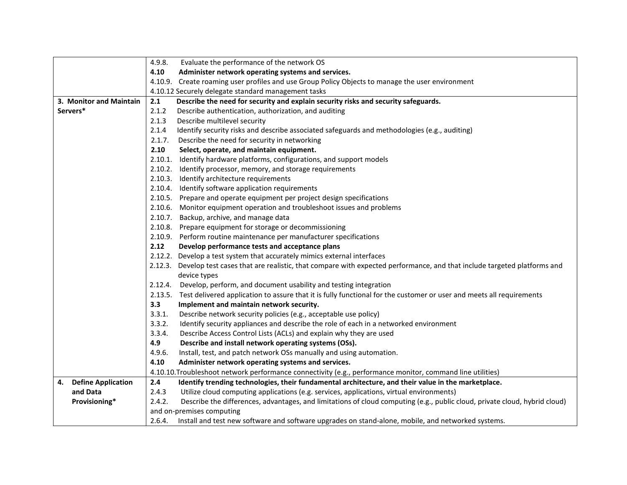|                         | 4.9.8.  | Evaluate the performance of the network OS                                                                                   |
|-------------------------|---------|------------------------------------------------------------------------------------------------------------------------------|
|                         | 4.10    | Administer network operating systems and services.                                                                           |
|                         |         | 4.10.9. Create roaming user profiles and use Group Policy Objects to manage the user environment                             |
|                         |         | 4.10.12 Securely delegate standard management tasks                                                                          |
| 3. Monitor and Maintain | 2.1     | Describe the need for security and explain security risks and security safeguards.                                           |
| Servers*                | 2.1.2   | Describe authentication, authorization, and auditing                                                                         |
|                         | 2.1.3   | Describe multilevel security                                                                                                 |
|                         | 2.1.4   | Identify security risks and describe associated safeguards and methodologies (e.g., auditing)                                |
|                         | 2.1.7.  | Describe the need for security in networking                                                                                 |
|                         | 2.10    | Select, operate, and maintain equipment.                                                                                     |
|                         | 2.10.1. | Identify hardware platforms, configurations, and support models                                                              |
|                         | 2.10.2. | Identify processor, memory, and storage requirements                                                                         |
|                         |         | 2.10.3. Identify architecture requirements                                                                                   |
|                         |         | 2.10.4. Identify software application requirements                                                                           |
|                         |         | 2.10.5. Prepare and operate equipment per project design specifications                                                      |
|                         |         | 2.10.6. Monitor equipment operation and troubleshoot issues and problems                                                     |
|                         |         | 2.10.7. Backup, archive, and manage data                                                                                     |
|                         |         | 2.10.8. Prepare equipment for storage or decommissioning                                                                     |
|                         |         | 2.10.9. Perform routine maintenance per manufacturer specifications                                                          |
|                         | 2.12    | Develop performance tests and acceptance plans                                                                               |
|                         |         | 2.12.2. Develop a test system that accurately mimics external interfaces                                                     |
|                         | 2.12.3. | Develop test cases that are realistic, that compare with expected performance, and that include targeted platforms and       |
|                         |         | device types                                                                                                                 |
|                         | 2.12.4. | Develop, perform, and document usability and testing integration                                                             |
|                         |         | 2.13.5. Test delivered application to assure that it is fully functional for the customer or user and meets all requirements |
|                         | 3.3     | Implement and maintain network security.                                                                                     |
|                         | 3.3.1.  | Describe network security policies (e.g., acceptable use policy)                                                             |
|                         | 3.3.2.  | Identify security appliances and describe the role of each in a networked environment                                        |
|                         | 3.3.4.  | Describe Access Control Lists (ACLs) and explain why they are used                                                           |
|                         | 4.9     | Describe and install network operating systems (OSs).                                                                        |
|                         | 4.9.6.  | Install, test, and patch network OSs manually and using automation.                                                          |
|                         | 4.10    | Administer network operating systems and services.                                                                           |
|                         |         | 4.10.10. Troubleshoot network performance connectivity (e.g., performance monitor, command line utilities)                   |
| 4. Define Application   | 2.4     | Identify trending technologies, their fundamental architecture, and their value in the marketplace.                          |
| and Data                | 2.4.3   | Utilize cloud computing applications (e.g. services, applications, virtual environments)                                     |
| Provisioning*           | 2.4.2.  | Describe the differences, advantages, and limitations of cloud computing (e.g., public cloud, private cloud, hybrid cloud)   |
|                         |         | and on-premises computing                                                                                                    |
|                         | 2.6.4.  | Install and test new software and software upgrades on stand-alone, mobile, and networked systems.                           |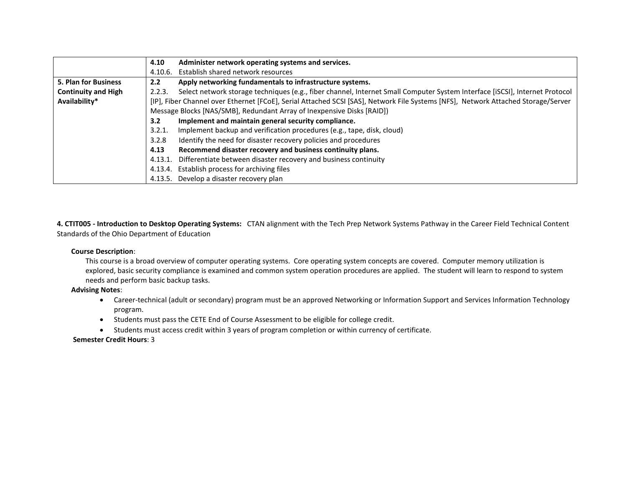|                             | Administer network operating systems and services.<br>4.10                                                                            |
|-----------------------------|---------------------------------------------------------------------------------------------------------------------------------------|
|                             | Establish shared network resources<br>4.10.6.                                                                                         |
| <b>5. Plan for Business</b> | Apply networking fundamentals to infrastructure systems.<br>2.2 <sub>2</sub>                                                          |
| <b>Continuity and High</b>  | Select network storage techniques (e.g., fiber channel, Internet Small Computer System Interface [iSCSI], Internet Protocol<br>2.2.3. |
| Availability*               | [IP], Fiber Channel over Ethernet [FCoE], Serial Attached SCSI [SAS], Network File Systems [NFS], Network Attached Storage/Server     |
|                             | Message Blocks [NAS/SMB], Redundant Array of Inexpensive Disks [RAID])                                                                |
|                             | Implement and maintain general security compliance.<br>3.2 <sub>2</sub>                                                               |
|                             | Implement backup and verification procedures (e.g., tape, disk, cloud)<br>3.2.1.                                                      |
|                             | Identify the need for disaster recovery policies and procedures<br>3.2.8                                                              |
|                             | Recommend disaster recovery and business continuity plans.<br>4.13                                                                    |
|                             | Differentiate between disaster recovery and business continuity<br>4.13.1                                                             |
|                             | Establish process for archiving files<br>4.13.4.                                                                                      |
|                             | Develop a disaster recovery plan<br>4.13.5.                                                                                           |

**4. CTIT005 - Introduction to Desktop Operating Systems:** CTAN alignment with the Tech Prep Network Systems Pathway in the Career Field Technical Content Standards of the Ohio Department of Education

## **Course Description**:

This course is a broad overview of computer operating systems. Core operating system concepts are covered. Computer memory utilization is explored, basic security compliance is examined and common system operation procedures are applied. The student will learn to respond to system needs and perform basic backup tasks.

**Advising Notes**:

- Career-technical (adult or secondary) program must be an approved Networking or Information Support and Services Information Technology program.
- Students must pass the CETE End of Course Assessment to be eligible for college credit.
- Students must access credit within 3 years of program completion or within currency of certificate.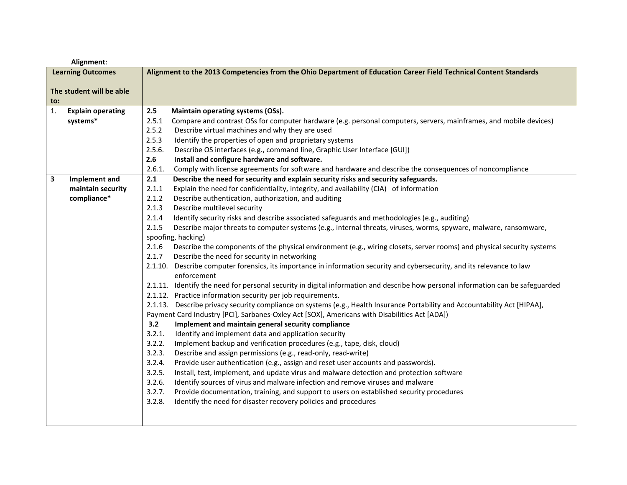| Alignment:                     |                                                                                                                                           |  |
|--------------------------------|-------------------------------------------------------------------------------------------------------------------------------------------|--|
| <b>Learning Outcomes</b>       | Alignment to the 2013 Competencies from the Ohio Department of Education Career Field Technical Content Standards                         |  |
|                                |                                                                                                                                           |  |
| The student will be able       |                                                                                                                                           |  |
| $\mathsf{to}$ :                |                                                                                                                                           |  |
| 1.<br><b>Explain operating</b> | 2.5<br>Maintain operating systems (OSs).                                                                                                  |  |
| systems*                       | 2.5.1<br>Compare and contrast OSs for computer hardware (e.g. personal computers, servers, mainframes, and mobile devices)                |  |
|                                | 2.5.2<br>Describe virtual machines and why they are used                                                                                  |  |
|                                | 2.5.3<br>Identify the properties of open and proprietary systems                                                                          |  |
|                                | 2.5.6.<br>Describe OS interfaces (e.g., command line, Graphic User Interface [GUI])                                                       |  |
|                                | 2.6<br>Install and configure hardware and software.                                                                                       |  |
|                                | Comply with license agreements for software and hardware and describe the consequences of noncompliance<br>2.6.1.                         |  |
| 3<br>Implement and             | 2.1<br>Describe the need for security and explain security risks and security safeguards.                                                 |  |
| maintain security              | Explain the need for confidentiality, integrity, and availability (CIA) of information<br>2.1.1                                           |  |
| compliance*                    | 2.1.2<br>Describe authentication, authorization, and auditing                                                                             |  |
|                                | 2.1.3<br>Describe multilevel security                                                                                                     |  |
|                                | 2.1.4<br>Identify security risks and describe associated safeguards and methodologies (e.g., auditing)                                    |  |
|                                | 2.1.5<br>Describe major threats to computer systems (e.g., internal threats, viruses, worms, spyware, malware, ransomware,                |  |
|                                | spoofing, hacking)                                                                                                                        |  |
|                                | Describe the components of the physical environment (e.g., wiring closets, server rooms) and physical security systems<br>2.1.6           |  |
|                                | Describe the need for security in networking<br>2.1.7                                                                                     |  |
|                                | Describe computer forensics, its importance in information security and cybersecurity, and its relevance to law<br>2.1.10.<br>enforcement |  |
|                                | 2.1.11. Identify the need for personal security in digital information and describe how personal information can be safeguarded           |  |
|                                | 2.1.12. Practice information security per job requirements.                                                                               |  |
|                                | 2.1.13. Describe privacy security compliance on systems (e.g., Health Insurance Portability and Accountability Act [HIPAA],               |  |
|                                | Payment Card Industry [PCI], Sarbanes-Oxley Act [SOX], Americans with Disabilities Act [ADA])                                             |  |
|                                | 3.2<br>Implement and maintain general security compliance                                                                                 |  |
|                                | 3.2.1.<br>Identify and implement data and application security                                                                            |  |
|                                | 3.2.2.<br>Implement backup and verification procedures (e.g., tape, disk, cloud)                                                          |  |
|                                | 3.2.3.<br>Describe and assign permissions (e.g., read-only, read-write)                                                                   |  |
|                                | Provide user authentication (e.g., assign and reset user accounts and passwords).<br>3.2.4.                                               |  |
|                                | 3.2.5.<br>Install, test, implement, and update virus and malware detection and protection software                                        |  |
|                                | 3.2.6.<br>Identify sources of virus and malware infection and remove viruses and malware                                                  |  |
|                                | 3.2.7.<br>Provide documentation, training, and support to users on established security procedures                                        |  |
|                                | 3.2.8.<br>Identify the need for disaster recovery policies and procedures                                                                 |  |
|                                |                                                                                                                                           |  |
|                                |                                                                                                                                           |  |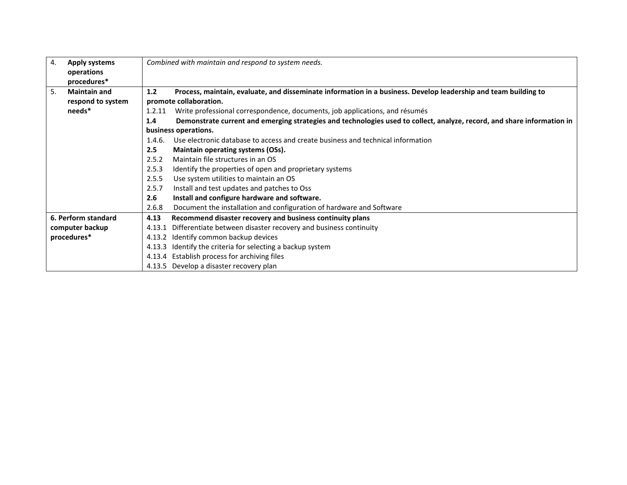| 4. | <b>Apply systems</b><br>operations<br>procedures* |        | Combined with maintain and respond to system needs.                                                                                       |
|----|---------------------------------------------------|--------|-------------------------------------------------------------------------------------------------------------------------------------------|
| 5. | <b>Maintain and</b><br>respond to system          | 1.2    | Process, maintain, evaluate, and disseminate information in a business. Develop leadership and team building to<br>promote collaboration. |
|    | needs*                                            | 1.2.11 | Write professional correspondence, documents, job applications, and résumés                                                               |
|    |                                                   | 1.4    | Demonstrate current and emerging strategies and technologies used to collect, analyze, record, and share information in                   |
|    |                                                   |        | business operations.                                                                                                                      |
|    |                                                   | 1.4.6. | Use electronic database to access and create business and technical information                                                           |
|    |                                                   | 2.5    | Maintain operating systems (OSs).                                                                                                         |
|    |                                                   | 2.5.2  | Maintain file structures in an OS                                                                                                         |
|    |                                                   | 2.5.3  | Identify the properties of open and proprietary systems                                                                                   |
|    |                                                   | 2.5.5  | Use system utilities to maintain an OS                                                                                                    |
|    |                                                   | 2.5.7  | Install and test updates and patches to Oss                                                                                               |
|    |                                                   | 2.6    | Install and configure hardware and software.                                                                                              |
|    |                                                   | 2.6.8  | Document the installation and configuration of hardware and Software                                                                      |
|    | 6. Perform standard                               | 4.13   | Recommend disaster recovery and business continuity plans                                                                                 |
|    | computer backup                                   | 4.13.1 | Differentiate between disaster recovery and business continuity                                                                           |
|    | procedures*                                       | 4.13.2 | Identify common backup devices                                                                                                            |
|    |                                                   | 4.13.3 | Identify the criteria for selecting a backup system                                                                                       |
|    |                                                   |        | 4.13.4 Establish process for archiving files                                                                                              |
|    |                                                   |        | 4.13.5 Develop a disaster recovery plan                                                                                                   |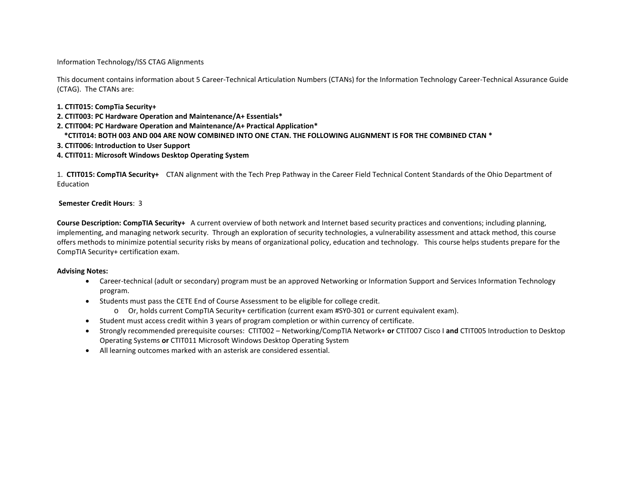Information Technology/ISS CTAG Alignments

This document contains information about 5 Career-Technical Articulation Numbers (CTANs) for the Information Technology Career-Technical Assurance Guide (CTAG). The CTANs are:

## **1. CTIT015: CompTia Security+**

**2. CTIT003: PC Hardware Operation and Maintenance/A+ Essentials\***

- **2. CTIT004: PC Hardware Operation and Maintenance/A+ Practical Application\***
- **\*CTIT014: BOTH 003 AND 004 ARE NOW COMBINED INTO ONE CTAN. THE FOLLOWING ALIGNMENT IS FOR THE COMBINED CTAN \***

# **3. CTIT006: Introduction to User Support**

# **4. CTIT011: Microsoft Windows Desktop Operating System**

1. **CTIT015: CompTIA Security+** CTAN alignment with the Tech Prep Pathway in the Career Field Technical Content Standards of the Ohio Department of Education

## **Semester Credit Hours**: 3

**Course Description: CompTIA Security+** A current overview of both network and Internet based security practices and conventions; including planning, implementing, and managing network security. Through an exploration of security technologies, a vulnerability assessment and attack method, this course offers methods to minimize potential security risks by means of organizational policy, education and technology. This course helps students prepare for the CompTIA Security+ certification exam.

## **Advising Notes:**

- Career-technical (adult or secondary) program must be an approved Networking or Information Support and Services Information Technology program.
- Students must pass the CETE End of Course Assessment to be eligible for college credit.
	- o Or, holds current CompTIA Security+ certification (current exam #SY0-301 or current equivalent exam).
- Student must access credit within 3 years of program completion or within currency of certificate.
- Strongly recommended prerequisite courses: CTIT002 Networking/CompTIA Network+ **or** CTIT007 Cisco I **and** CTIT005 Introduction to Desktop Operating Systems **or** CTIT011 Microsoft Windows Desktop Operating System
- All learning outcomes marked with an asterisk are considered essential.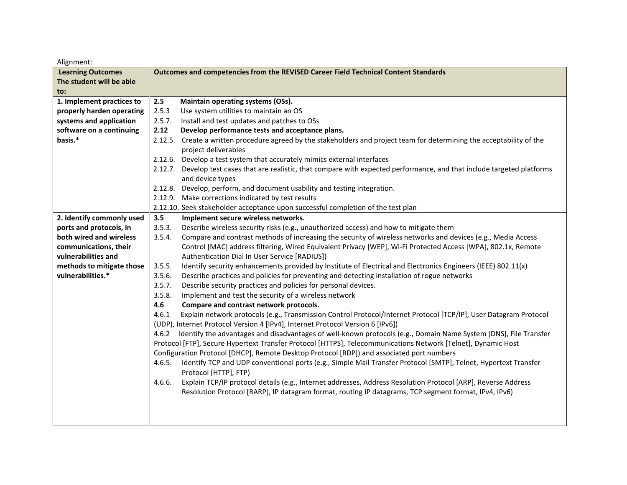| <b>Learning Outcomes</b>  | Outcomes and competencies from the REVISED Career Field Technical Content Standards                                                                                                                                                        |
|---------------------------|--------------------------------------------------------------------------------------------------------------------------------------------------------------------------------------------------------------------------------------------|
| The student will be able  |                                                                                                                                                                                                                                            |
| to:                       |                                                                                                                                                                                                                                            |
| 1. Implement practices to | 2.5<br>Maintain operating systems (OSs).                                                                                                                                                                                                   |
| properly harden operating | 2.5.3<br>Use system utilities to maintain an OS                                                                                                                                                                                            |
| systems and application   | 2.5.7.<br>Install and test updates and patches to OSs                                                                                                                                                                                      |
| software on a continuing  | 2.12<br>Develop performance tests and acceptance plans.                                                                                                                                                                                    |
| basis.*                   | Create a written procedure agreed by the stakeholders and project team for determining the acceptability of the<br>2.12.5.                                                                                                                 |
|                           | project deliverables                                                                                                                                                                                                                       |
|                           | 2.12.6. Develop a test system that accurately mimics external interfaces                                                                                                                                                                   |
|                           | Develop test cases that are realistic, that compare with expected performance, and that include targeted platforms<br>2.12.7.                                                                                                              |
|                           | and device types                                                                                                                                                                                                                           |
|                           | 2.12.8. Develop, perform, and document usability and testing integration.                                                                                                                                                                  |
|                           | 2.12.9. Make corrections indicated by test results                                                                                                                                                                                         |
|                           | 2.12.10. Seek stakeholder acceptance upon successful completion of the test plan                                                                                                                                                           |
| 2. Identify commonly used | 3.5<br>Implement secure wireless networks.                                                                                                                                                                                                 |
| ports and protocols, in   | Describe wireless security risks (e.g., unauthorized access) and how to mitigate them<br>3.5.3.                                                                                                                                            |
| both wired and wireless   | Compare and contrast methods of increasing the security of wireless networks and devices (e.g., Media Access<br>3.5.4.                                                                                                                     |
| communications, their     | Control [MAC] address filtering, Wired Equivalent Privacy [WEP], Wi-Fi Protected Access [WPA], 802.1x, Remote                                                                                                                              |
| vulnerabilities and       | Authentication Dial In User Service [RADIUS])                                                                                                                                                                                              |
| methods to mitigate those | Identify security enhancements provided by Institute of Electrical and Electronics Engineers (IEEE) 802.11(x)<br>3.5.5.                                                                                                                    |
| vulnerabilities.*         | 3.5.6.<br>Describe practices and policies for preventing and detecting installation of rogue networks                                                                                                                                      |
|                           | 3.5.7.<br>Describe security practices and policies for personal devices.                                                                                                                                                                   |
|                           | 3.5.8.<br>Implement and test the security of a wireless network                                                                                                                                                                            |
|                           | 4.6<br>Compare and contrast network protocols.                                                                                                                                                                                             |
|                           | 4.6.1<br>Explain network protocols (e.g., Transmission Control Protocol/Internet Protocol [TCP/IP], User Datagram Protocol                                                                                                                 |
|                           | (UDP), Internet Protocol Version 4 [IPv4], Internet Protocol Version 6 [IPv6])                                                                                                                                                             |
|                           | Identify the advantages and disadvantages of well-known protocols (e.g., Domain Name System [DNS], File Transfer<br>4.6.2<br>Protocol [FTP], Secure Hypertext Transfer Protocol [HTTPS], Telecommunications Network [Telnet], Dynamic Host |
|                           | Configuration Protocol [DHCP], Remote Desktop Protocol [RDP]) and associated port numbers                                                                                                                                                  |
|                           | Identify TCP and UDP conventional ports (e.g., Simple Mail Transfer Protocol [SMTP], Telnet, Hypertext Transfer<br>4.6.5.                                                                                                                  |
|                           | Protocol [HTTP], FTP)                                                                                                                                                                                                                      |
|                           | Explain TCP/IP protocol details (e.g., Internet addresses, Address Resolution Protocol [ARP], Reverse Address<br>4.6.6.                                                                                                                    |
|                           | Resolution Protocol [RARP], IP datagram format, routing IP datagrams, TCP segment format, IPv4, IPv6)                                                                                                                                      |
|                           |                                                                                                                                                                                                                                            |
|                           |                                                                                                                                                                                                                                            |
|                           |                                                                                                                                                                                                                                            |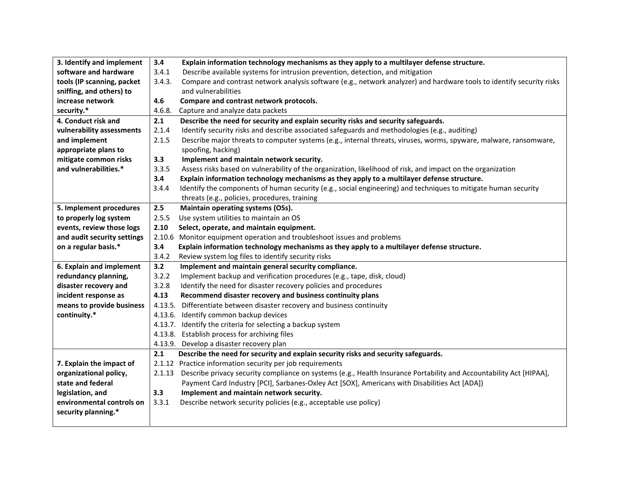| 3. Identify and implement   | 3.4     | Explain information technology mechanisms as they apply to a multilayer defense structure.                            |
|-----------------------------|---------|-----------------------------------------------------------------------------------------------------------------------|
| software and hardware       | 3.4.1   | Describe available systems for intrusion prevention, detection, and mitigation                                        |
| tools (IP scanning, packet  | 3.4.3.  | Compare and contrast network analysis software (e.g., network analyzer) and hardware tools to identify security risks |
| sniffing, and others) to    |         | and vulnerabilities                                                                                                   |
| increase network            | 4.6     | Compare and contrast network protocols.                                                                               |
| security.*                  | 4.6.8.  | Capture and analyze data packets                                                                                      |
| 4. Conduct risk and         | 2.1     | Describe the need for security and explain security risks and security safeguards.                                    |
| vulnerability assessments   | 2.1.4   | Identify security risks and describe associated safeguards and methodologies (e.g., auditing)                         |
| and implement               | 2.1.5   | Describe major threats to computer systems (e.g., internal threats, viruses, worms, spyware, malware, ransomware,     |
| appropriate plans to        |         | spoofing, hacking)                                                                                                    |
| mitigate common risks       | 3.3     | Implement and maintain network security.                                                                              |
| and vulnerabilities.*       | 3.3.5   | Assess risks based on vulnerability of the organization, likelihood of risk, and impact on the organization           |
|                             | 3.4     | Explain information technology mechanisms as they apply to a multilayer defense structure.                            |
|                             | 3.4.4   | Identify the components of human security (e.g., social engineering) and techniques to mitigate human security        |
|                             |         | threats (e.g., policies, procedures, training                                                                         |
| 5. Implement procedures     | 2.5     | Maintain operating systems (OSs).                                                                                     |
| to properly log system      | 2.5.5   | Use system utilities to maintain an OS                                                                                |
| events, review those logs   | 2.10    | Select, operate, and maintain equipment.                                                                              |
| and audit security settings |         | 2.10.6 Monitor equipment operation and troubleshoot issues and problems                                               |
| on a regular basis.*        | 3.4     | Explain information technology mechanisms as they apply to a multilayer defense structure.                            |
|                             | 3.4.2   | Review system log files to identify security risks                                                                    |
| 6. Explain and implement    | 3.2     | Implement and maintain general security compliance.                                                                   |
| redundancy planning,        | 3.2.2   | Implement backup and verification procedures (e.g., tape, disk, cloud)                                                |
| disaster recovery and       | 3.2.8   | Identify the need for disaster recovery policies and procedures                                                       |
| incident response as        | 4.13    | Recommend disaster recovery and business continuity plans                                                             |
| means to provide business   | 4.13.5. | Differentiate between disaster recovery and business continuity                                                       |
| continuity.*                | 4.13.6. | Identify common backup devices                                                                                        |
|                             | 4.13.7. | Identify the criteria for selecting a backup system                                                                   |
|                             |         | 4.13.8. Establish process for archiving files                                                                         |
|                             |         |                                                                                                                       |
|                             | 4.13.9. | Develop a disaster recovery plan                                                                                      |
|                             | 2.1     | Describe the need for security and explain security risks and security safeguards.                                    |
| 7. Explain the impact of    |         | 2.1.12 Practice information security per job requirements                                                             |
| organizational policy,      | 2.1.13  | Describe privacy security compliance on systems (e.g., Health Insurance Portability and Accountability Act [HIPAA],   |
| state and federal           |         | Payment Card Industry [PCI], Sarbanes-Oxley Act [SOX], Americans with Disabilities Act [ADA])                         |
| legislation, and            | 3.3     | Implement and maintain network security.                                                                              |
| environmental controls on   | 3.3.1   | Describe network security policies (e.g., acceptable use policy)                                                      |
| security planning.*         |         |                                                                                                                       |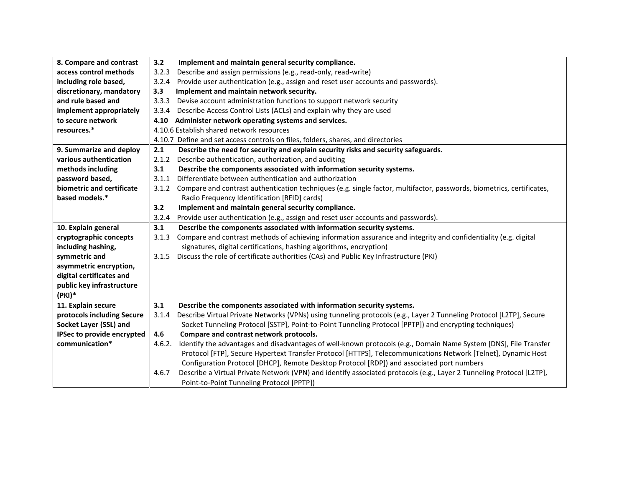| 8. Compare and contrast    | 3.2    | Implement and maintain general security compliance.                                                                                                               |
|----------------------------|--------|-------------------------------------------------------------------------------------------------------------------------------------------------------------------|
| access control methods     | 3.2.3  | Describe and assign permissions (e.g., read-only, read-write)                                                                                                     |
| including role based,      | 3.2.4  | Provide user authentication (e.g., assign and reset user accounts and passwords).                                                                                 |
| discretionary, mandatory   | 3.3    | Implement and maintain network security.                                                                                                                          |
| and rule based and         | 3.3.3  | Devise account administration functions to support network security                                                                                               |
| implement appropriately    | 3.3.4  | Describe Access Control Lists (ACLs) and explain why they are used                                                                                                |
| to secure network          |        | 4.10 Administer network operating systems and services.                                                                                                           |
| resources.*                |        | 4.10.6 Establish shared network resources                                                                                                                         |
|                            |        | 4.10.7 Define and set access controls on files, folders, shares, and directories                                                                                  |
| 9. Summarize and deploy    | 2.1    | Describe the need for security and explain security risks and security safeguards.                                                                                |
| various authentication     | 2.1.2  | Describe authentication, authorization, and auditing                                                                                                              |
| methods including          | 3.1    | Describe the components associated with information security systems.                                                                                             |
| password based,            | 3.1.1  | Differentiate between authentication and authorization                                                                                                            |
| biometric and certificate  | 3.1.2  | Compare and contrast authentication techniques (e.g. single factor, multifactor, passwords, biometrics, certificates,                                             |
| based models.*             |        | Radio Frequency Identification [RFID] cards)                                                                                                                      |
|                            | 3.2    | Implement and maintain general security compliance.                                                                                                               |
|                            | 3.2.4  | Provide user authentication (e.g., assign and reset user accounts and passwords).                                                                                 |
| 10. Explain general        | 3.1    | Describe the components associated with information security systems.                                                                                             |
|                            |        |                                                                                                                                                                   |
| cryptographic concepts     | 3.1.3  | Compare and contrast methods of achieving information assurance and integrity and confidentiality (e.g. digital                                                   |
| including hashing,         |        | signatures, digital certifications, hashing algorithms, encryption)                                                                                               |
| symmetric and              | 3.1.5  | Discuss the role of certificate authorities (CAs) and Public Key Infrastructure (PKI)                                                                             |
| asymmetric encryption,     |        |                                                                                                                                                                   |
| digital certificates and   |        |                                                                                                                                                                   |
| public key infrastructure  |        |                                                                                                                                                                   |
| (PKI)*                     |        |                                                                                                                                                                   |
| 11. Explain secure         | 3.1    | Describe the components associated with information security systems.                                                                                             |
| protocols including Secure | 3.1.4  | Describe Virtual Private Networks (VPNs) using tunneling protocols (e.g., Layer 2 Tunneling Protocol [L2TP], Secure                                               |
| Socket Layer (SSL) and     |        | Socket Tunneling Protocol [SSTP], Point-to-Point Tunneling Protocol [PPTP]) and encrypting techniques)                                                            |
| IPSec to provide encrypted | 4.6    | Compare and contrast network protocols.                                                                                                                           |
| communication*             | 4.6.2. | Identify the advantages and disadvantages of well-known protocols (e.g., Domain Name System [DNS], File Transfer                                                  |
|                            |        | Protocol [FTP], Secure Hypertext Transfer Protocol [HTTPS], Telecommunications Network [Telnet], Dynamic Host                                                     |
|                            |        | Configuration Protocol [DHCP], Remote Desktop Protocol [RDP]) and associated port numbers                                                                         |
|                            | 4.6.7  | Describe a Virtual Private Network (VPN) and identify associated protocols (e.g., Layer 2 Tunneling Protocol [L2TP],<br>Point-to-Point Tunneling Protocol [PPTP]) |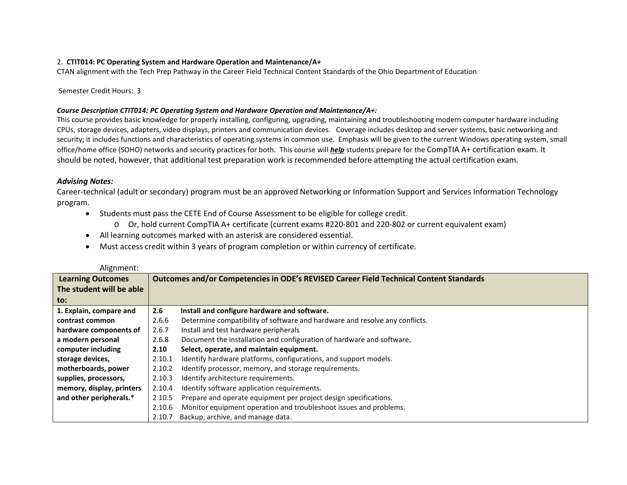# 2. **CTIT014: PC Operating System and Hardware Operation and Maintenance/A+**

CTAN alignment with the Tech Prep Pathway in the Career Field Technical Content Standards of the Ohio Department of Education

Semester Credit Hours: 3

# *Course Description CTIT014: PC Operating System and Hardware Operation and Maintenance/A+:*

This course provides basic knowledge for properly installing, configuring, upgrading, maintaining and troubleshooting modern computer hardware including CPUs, storage devices, adapters, video displays, printers and communication devices. Coverage includes desktop and server systems, basic networking and security; it includes functions and characteristics of operating systems in common use. Emphasis will be given to the current Windows operating system, small office/home office (SOHO) networks and security practices for both. This course will *help* students prepare for the CompTIA A+ certification exam. It should be noted, however, that additional test preparation work is recommended before attempting the actual certification exam.

# *Advising Notes:*

Career-technical (adult or secondary) program must be an approved Networking or Information Support and Services Information Technology program.

- Students must pass the CETE End of Course Assessment to be eligible for college credit.
	- o Or, hold current CompTIA A+ certificate (current exams #220-801 and 220-802 or current equivalent exam)
- All learning outcomes marked with an asterisk are considered essential.
- Must access credit within 3 years of program completion or within currency of certificate.

| Alignment:                |        |                                                                                        |
|---------------------------|--------|----------------------------------------------------------------------------------------|
| <b>Learning Outcomes</b>  |        | Outcomes and/or Competencies in ODE's REVISED Career Field Technical Content Standards |
| The student will be able  |        |                                                                                        |
| to:                       |        |                                                                                        |
| 1. Explain, compare and   | 2.6    | Install and configure hardware and software.                                           |
| contrast common           | 2.6.6  | Determine compatibility of software and hardware and resolve any conflicts.            |
| hardware components of    | 2.6.7  | Install and test hardware peripherals                                                  |
| a modern personal         | 2.6.8  | Document the installation and configuration of hardware and software.                  |
| computer including        | 2.10   | Select, operate, and maintain equipment.                                               |
| storage devices,          | 2.10.1 | Identify hardware platforms, configurations, and support models.                       |
| motherboards, power       | 2.10.2 | Identify processor, memory, and storage requirements.                                  |
| supplies, processors,     | 2.10.3 | Identify architecture requirements.                                                    |
| memory, display, printers | 2.10.4 | Identify software application requirements.                                            |
| and other peripherals.*   | 2.10.5 | Prepare and operate equipment per project design specifications.                       |
|                           | 2.10.6 | Monitor equipment operation and troubleshoot issues and problems.                      |
|                           | 2.10.7 | Backup, archive, and manage data.                                                      |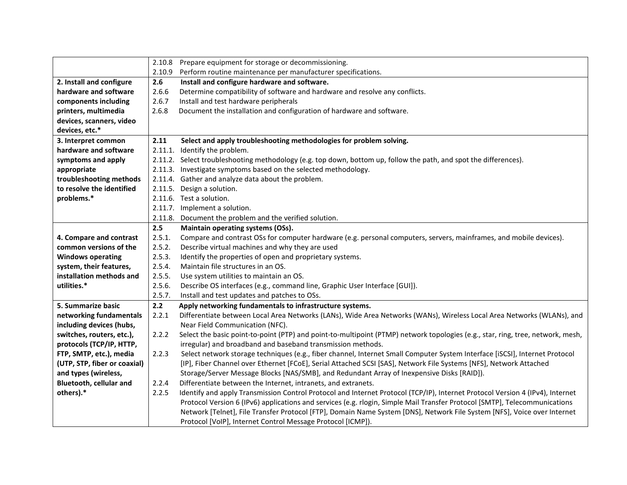|                                | 2.10.8 | Prepare equipment for storage or decommissioning.                                                                               |
|--------------------------------|--------|---------------------------------------------------------------------------------------------------------------------------------|
|                                | 2.10.9 | Perform routine maintenance per manufacturer specifications.                                                                    |
| 2. Install and configure       | 2.6    | Install and configure hardware and software.                                                                                    |
| hardware and software          | 2.6.6  | Determine compatibility of software and hardware and resolve any conflicts.                                                     |
| components including           | 2.6.7  | Install and test hardware peripherals                                                                                           |
| printers, multimedia           | 2.6.8  | Document the installation and configuration of hardware and software.                                                           |
| devices, scanners, video       |        |                                                                                                                                 |
| devices, etc.*                 |        |                                                                                                                                 |
| 3. Interpret common            | 2.11   | Select and apply troubleshooting methodologies for problem solving.                                                             |
| hardware and software          |        | 2.11.1. Identify the problem.                                                                                                   |
| symptoms and apply             |        | 2.11.2. Select troubleshooting methodology (e.g. top down, bottom up, follow the path, and spot the differences).               |
| appropriate                    |        | 2.11.3. Investigate symptoms based on the selected methodology.                                                                 |
| troubleshooting methods        |        | 2.11.4. Gather and analyze data about the problem.                                                                              |
| to resolve the identified      |        | 2.11.5. Design a solution.                                                                                                      |
| problems.*                     |        | 2.11.6. Test a solution.                                                                                                        |
|                                |        | 2.11.7. Implement a solution.                                                                                                   |
|                                |        | 2.11.8. Document the problem and the verified solution.                                                                         |
|                                | 2.5    | Maintain operating systems (OSs).                                                                                               |
| 4. Compare and contrast        | 2.5.1. | Compare and contrast OSs for computer hardware (e.g. personal computers, servers, mainframes, and mobile devices).              |
| common versions of the         | 2.5.2. | Describe virtual machines and why they are used                                                                                 |
| <b>Windows operating</b>       | 2.5.3. | Identify the properties of open and proprietary systems.                                                                        |
| system, their features,        | 2.5.4. | Maintain file structures in an OS.                                                                                              |
| installation methods and       | 2.5.5. | Use system utilities to maintain an OS.                                                                                         |
| utilities.*                    | 2.5.6. | Describe OS interfaces (e.g., command line, Graphic User Interface [GUI]).                                                      |
|                                | 2.5.7. | Install and test updates and patches to OSs.                                                                                    |
| 5. Summarize basic             | 2.2    | Apply networking fundamentals to infrastructure systems.                                                                        |
| networking fundamentals        | 2.2.1  | Differentiate between Local Area Networks (LANs), Wide Area Networks (WANs), Wireless Local Area Networks (WLANs), and          |
| including devices (hubs,       |        | Near Field Communication (NFC).                                                                                                 |
| switches, routers, etc.),      | 2.2.2  | Select the basic point-to-point (PTP) and point-to-multipoint (PTMP) network topologies (e.g., star, ring, tree, network, mesh, |
| protocols (TCP/IP, HTTP,       |        | irregular) and broadband and baseband transmission methods.                                                                     |
| FTP, SMTP, etc.), media        | 2.2.3  | Select network storage techniques (e.g., fiber channel, Internet Small Computer System Interface [iSCSI], Internet Protocol     |
| (UTP, STP, fiber or coaxial)   |        | [IP], Fiber Channel over Ethernet [FCoE], Serial Attached SCSI [SAS], Network File Systems [NFS], Network Attached              |
| and types (wireless,           |        | Storage/Server Message Blocks [NAS/SMB], and Redundant Array of Inexpensive Disks [RAID]).                                      |
| <b>Bluetooth, cellular and</b> | 2.2.4  | Differentiate between the Internet, intranets, and extranets.                                                                   |
| others).*                      | 2.2.5  | Identify and apply Transmission Control Protocol and Internet Protocol (TCP/IP), Internet Protocol Version 4 (IPv4), Internet   |
|                                |        | Protocol Version 6 (IPv6) applications and services (e.g. rlogin, Simple Mail Transfer Protocol [SMTP], Telecommunications      |
|                                |        | Network [Telnet], File Transfer Protocol [FTP], Domain Name System [DNS], Network File System [NFS], Voice over Internet        |
|                                |        | Protocol [VoIP], Internet Control Message Protocol [ICMP]).                                                                     |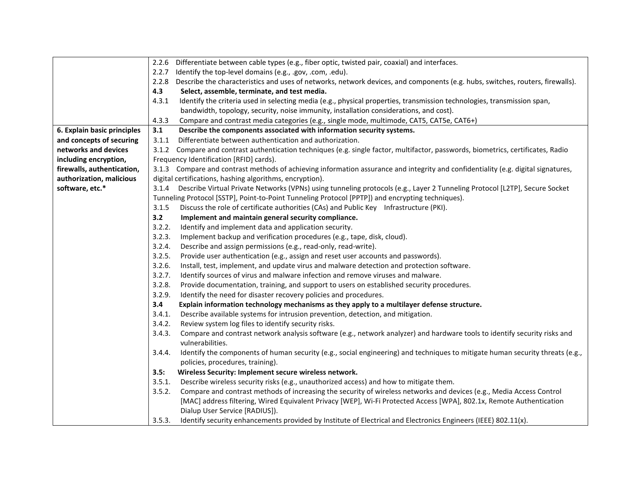|                             | 2.2.6 Differentiate between cable types (e.g., fiber optic, twisted pair, coaxial) and interfaces.                                      |
|-----------------------------|-----------------------------------------------------------------------------------------------------------------------------------------|
|                             | 2.2.7<br>Identify the top-level domains (e.g., .gov, .com, .edu).                                                                       |
|                             | 2.2.8 Describe the characteristics and uses of networks, network devices, and components (e.g. hubs, switches, routers, firewalls).     |
|                             | 4.3<br>Select, assemble, terminate, and test media.                                                                                     |
|                             | 4.3.1<br>Identify the criteria used in selecting media (e.g., physical properties, transmission technologies, transmission span,        |
|                             | bandwidth, topology, security, noise immunity, installation considerations, and cost).                                                  |
|                             | 4.3.3<br>Compare and contrast media categories (e.g., single mode, multimode, CAT5, CAT5e, CAT6+)                                       |
| 6. Explain basic principles | 3.1<br>Describe the components associated with information security systems.                                                            |
| and concepts of securing    | Differentiate between authentication and authorization.<br>3.1.1                                                                        |
| networks and devices        | 3.1.2 Compare and contrast authentication techniques (e.g. single factor, multifactor, passwords, biometrics, certificates, Radio       |
| including encryption,       | Frequency Identification [RFID] cards).                                                                                                 |
| firewalls, authentication,  | 3.1.3 Compare and contrast methods of achieving information assurance and integrity and confidentiality (e.g. digital signatures,       |
| authorization, malicious    | digital certifications, hashing algorithms, encryption).                                                                                |
| software, etc.*             | 3.1.4 Describe Virtual Private Networks (VPNs) using tunneling protocols (e.g., Layer 2 Tunneling Protocol [L2TP], Secure Socket        |
|                             | Tunneling Protocol [SSTP], Point-to-Point Tunneling Protocol [PPTP]) and encrypting techniques).                                        |
|                             | Discuss the role of certificate authorities (CAs) and Public Key Infrastructure (PKI).<br>3.1.5                                         |
|                             | 3.2<br>Implement and maintain general security compliance.                                                                              |
|                             | 3.2.2.<br>Identify and implement data and application security.                                                                         |
|                             | 3.2.3.<br>Implement backup and verification procedures (e.g., tape, disk, cloud).                                                       |
|                             | 3.2.4.<br>Describe and assign permissions (e.g., read-only, read-write).                                                                |
|                             | 3.2.5.<br>Provide user authentication (e.g., assign and reset user accounts and passwords).                                             |
|                             | 3.2.6.<br>Install, test, implement, and update virus and malware detection and protection software.                                     |
|                             | 3.2.7.<br>Identify sources of virus and malware infection and remove viruses and malware.                                               |
|                             | 3.2.8.<br>Provide documentation, training, and support to users on established security procedures.                                     |
|                             | 3.2.9.<br>Identify the need for disaster recovery policies and procedures.                                                              |
|                             | 3.4<br>Explain information technology mechanisms as they apply to a multilayer defense structure.                                       |
|                             | 3.4.1.<br>Describe available systems for intrusion prevention, detection, and mitigation.                                               |
|                             | 3.4.2.<br>Review system log files to identify security risks.                                                                           |
|                             | 3.4.3.<br>Compare and contrast network analysis software (e.g., network analyzer) and hardware tools to identify security risks and     |
|                             | vulnerabilities.                                                                                                                        |
|                             | 3.4.4.<br>Identify the components of human security (e.g., social engineering) and techniques to mitigate human security threats (e.g., |
|                             | policies, procedures, training).                                                                                                        |
|                             | Wireless Security: Implement secure wireless network.<br>3.5:                                                                           |
|                             | Describe wireless security risks (e.g., unauthorized access) and how to mitigate them.<br>3.5.1.                                        |
|                             | Compare and contrast methods of increasing the security of wireless networks and devices (e.g., Media Access Control<br>3.5.2.          |
|                             | [MAC] address filtering, Wired Equivalent Privacy [WEP], Wi-Fi Protected Access [WPA], 802.1x, Remote Authentication                    |
|                             | Dialup User Service [RADIUS]).                                                                                                          |
|                             | Identify security enhancements provided by Institute of Electrical and Electronics Engineers (IEEE) 802.11(x).<br>3.5.3.                |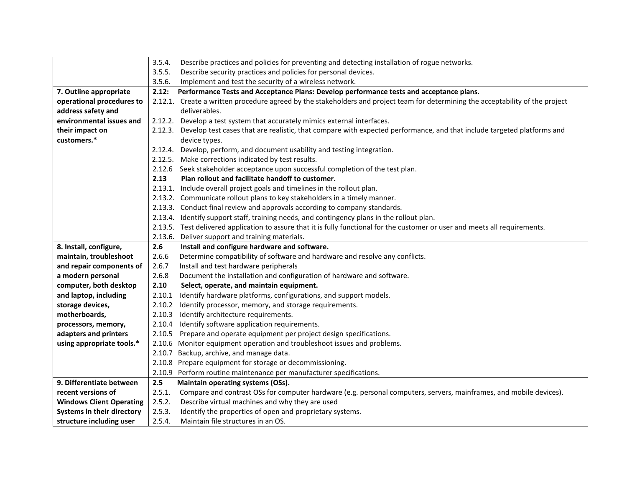|                                 | 3.5.4. | Describe practices and policies for preventing and detecting installation of rogue networks.                                    |
|---------------------------------|--------|---------------------------------------------------------------------------------------------------------------------------------|
|                                 | 3.5.5. | Describe security practices and policies for personal devices.                                                                  |
|                                 | 3.5.6. | Implement and test the security of a wireless network.                                                                          |
| 7. Outline appropriate          | 2.12:  | Performance Tests and Acceptance Plans: Develop performance tests and acceptance plans.                                         |
| operational procedures to       |        | 2.12.1. Create a written procedure agreed by the stakeholders and project team for determining the acceptability of the project |
| address safety and              |        | deliverables.                                                                                                                   |
| environmental issues and        |        | 2.12.2. Develop a test system that accurately mimics external interfaces.                                                       |
| their impact on                 |        | 2.12.3. Develop test cases that are realistic, that compare with expected performance, and that include targeted platforms and  |
| customers.*                     |        | device types.                                                                                                                   |
|                                 |        | 2.12.4. Develop, perform, and document usability and testing integration.                                                       |
|                                 |        | 2.12.5. Make corrections indicated by test results.                                                                             |
|                                 |        | 2.12.6 Seek stakeholder acceptance upon successful completion of the test plan.                                                 |
|                                 | 2.13   | Plan rollout and facilitate handoff to customer.                                                                                |
|                                 |        | 2.13.1. Include overall project goals and timelines in the rollout plan.                                                        |
|                                 |        | 2.13.2. Communicate rollout plans to key stakeholders in a timely manner.                                                       |
|                                 |        | 2.13.3. Conduct final review and approvals according to company standards.                                                      |
|                                 |        | 2.13.4. Identify support staff, training needs, and contingency plans in the rollout plan.                                      |
|                                 |        | 2.13.5. Test delivered application to assure that it is fully functional for the customer or user and meets all requirements.   |
|                                 |        | 2.13.6. Deliver support and training materials.                                                                                 |
|                                 |        |                                                                                                                                 |
| 8. Install, configure,          | 2.6    | Install and configure hardware and software.                                                                                    |
| maintain, troubleshoot          | 2.6.6  | Determine compatibility of software and hardware and resolve any conflicts.                                                     |
| and repair components of        | 2.6.7  | Install and test hardware peripherals                                                                                           |
| a modern personal               | 2.6.8  | Document the installation and configuration of hardware and software.                                                           |
| computer, both desktop          | 2.10   | Select, operate, and maintain equipment.                                                                                        |
| and laptop, including           | 2.10.1 | Identify hardware platforms, configurations, and support models.                                                                |
| storage devices,                | 2.10.2 | Identify processor, memory, and storage requirements.                                                                           |
| motherboards,                   | 2.10.3 | Identify architecture requirements.                                                                                             |
| processors, memory,             | 2.10.4 | Identify software application requirements.                                                                                     |
| adapters and printers           | 2.10.5 | Prepare and operate equipment per project design specifications.                                                                |
| using appropriate tools.*       |        | 2.10.6 Monitor equipment operation and troubleshoot issues and problems.                                                        |
|                                 |        | 2.10.7 Backup, archive, and manage data.                                                                                        |
|                                 |        | 2.10.8 Prepare equipment for storage or decommissioning.                                                                        |
|                                 |        | 2.10.9 Perform routine maintenance per manufacturer specifications.                                                             |
| 9. Differentiate between        | 2.5    | Maintain operating systems (OSs).                                                                                               |
| recent versions of              | 2.5.1. | Compare and contrast OSs for computer hardware (e.g. personal computers, servers, mainframes, and mobile devices).              |
| <b>Windows Client Operating</b> | 2.5.2. | Describe virtual machines and why they are used                                                                                 |
| Systems in their directory      | 2.5.3. | Identify the properties of open and proprietary systems.                                                                        |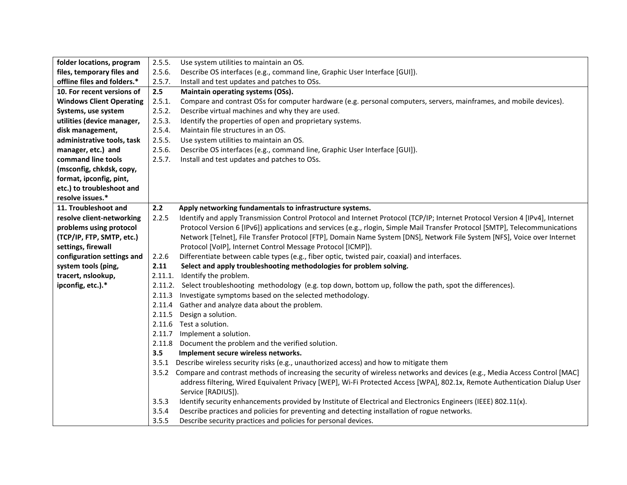| folder locations, program       | 2.5.5.  | Use system utilities to maintain an OS.                                                                                          |
|---------------------------------|---------|----------------------------------------------------------------------------------------------------------------------------------|
| files, temporary files and      | 2.5.6.  | Describe OS interfaces (e.g., command line, Graphic User Interface [GUI]).                                                       |
| offline files and folders.*     | 2.5.7.  | Install and test updates and patches to OSs.                                                                                     |
| 10. For recent versions of      | 2.5     | Maintain operating systems (OSs).                                                                                                |
| <b>Windows Client Operating</b> | 2.5.1.  | Compare and contrast OSs for computer hardware (e.g. personal computers, servers, mainframes, and mobile devices).               |
| Systems, use system             | 2.5.2.  | Describe virtual machines and why they are used.                                                                                 |
| utilities (device manager,      | 2.5.3.  | Identify the properties of open and proprietary systems.                                                                         |
| disk management,                | 2.5.4.  | Maintain file structures in an OS.                                                                                               |
| administrative tools, task      | 2.5.5.  | Use system utilities to maintain an OS.                                                                                          |
| manager, etc.) and              | 2.5.6.  | Describe OS interfaces (e.g., command line, Graphic User Interface [GUI]).                                                       |
| command line tools              | 2.5.7.  | Install and test updates and patches to OSs.                                                                                     |
| (msconfig, chkdsk, copy,        |         |                                                                                                                                  |
| format, ipconfig, pint,         |         |                                                                                                                                  |
| etc.) to troubleshoot and       |         |                                                                                                                                  |
| resolve issues.*                |         |                                                                                                                                  |
| 11. Troubleshoot and            | 2.2     | Apply networking fundamentals to infrastructure systems.                                                                         |
| resolve client-networking       | 2.2.5   | Identify and apply Transmission Control Protocol and Internet Protocol (TCP/IP; Internet Protocol Version 4 [IPv4], Internet     |
| problems using protocol         |         | Protocol Version 6 [IPv6]) applications and services (e.g., rlogin, Simple Mail Transfer Protocol [SMTP], Telecommunications     |
| (TCP/IP, FTP, SMTP, etc.)       |         | Network [Telnet], File Transfer Protocol [FTP], Domain Name System [DNS], Network File System [NFS], Voice over Internet         |
| settings, firewall              |         | Protocol [VoIP], Internet Control Message Protocol [ICMP]).                                                                      |
| configuration settings and      | 2.2.6   | Differentiate between cable types (e.g., fiber optic, twisted pair, coaxial) and interfaces.                                     |
| system tools (ping,             | 2.11    | Select and apply troubleshooting methodologies for problem solving.                                                              |
| tracert, nslookup,              | 2.11.1. | Identify the problem.                                                                                                            |
| ipconfig, etc.).*               |         | 2.11.2. Select troubleshooting methodology (e.g. top down, bottom up, follow the path, spot the differences).                    |
|                                 | 2.11.3  | Investigate symptoms based on the selected methodology.                                                                          |
|                                 | 2.11.4  | Gather and analyze data about the problem.                                                                                       |
|                                 | 2.11.5  | Design a solution.                                                                                                               |
|                                 |         | 2.11.6 Test a solution.                                                                                                          |
|                                 | 2.11.7  | Implement a solution.                                                                                                            |
|                                 | 2.11.8  | Document the problem and the verified solution.                                                                                  |
|                                 | 3.5     | Implement secure wireless networks.                                                                                              |
|                                 | 3.5.1   | Describe wireless security risks (e.g., unauthorized access) and how to mitigate them                                            |
|                                 |         | 3.5.2 Compare and contrast methods of increasing the security of wireless networks and devices (e.g., Media Access Control [MAC] |
|                                 |         | address filtering, Wired Equivalent Privacy [WEP], Wi-Fi Protected Access [WPA], 802.1x, Remote Authentication Dialup User       |
|                                 |         | Service [RADIUS]).                                                                                                               |
|                                 | 3.5.3   | Identify security enhancements provided by Institute of Electrical and Electronics Engineers (IEEE) 802.11(x).                   |
|                                 | 3.5.4   | Describe practices and policies for preventing and detecting installation of rogue networks.                                     |
|                                 | 3.5.5   | Describe security practices and policies for personal devices.                                                                   |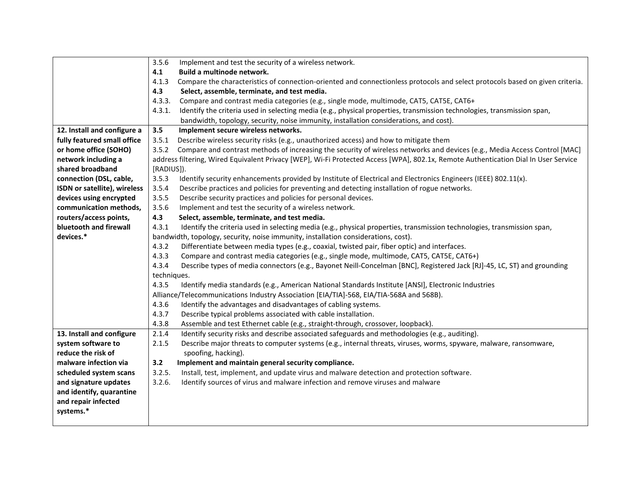|                              | 3.5.6<br>Implement and test the security of a wireless network.                                                                        |
|------------------------------|----------------------------------------------------------------------------------------------------------------------------------------|
|                              | 4.1<br>Build a multinode network.                                                                                                      |
|                              | 4.1.3<br>Compare the characteristics of connection-oriented and connectionless protocols and select protocols based on given criteria. |
|                              | 4.3<br>Select, assemble, terminate, and test media.                                                                                    |
|                              | 4.3.3.<br>Compare and contrast media categories (e.g., single mode, multimode, CAT5, CAT5E, CAT6+                                      |
|                              | 4.3.1.<br>Identify the criteria used in selecting media (e.g., physical properties, transmission technologies, transmission span,      |
|                              | bandwidth, topology, security, noise immunity, installation considerations, and cost).                                                 |
| 12. Install and configure a  | 3.5<br>Implement secure wireless networks.                                                                                             |
| fully featured small office  | 3.5.1<br>Describe wireless security risks (e.g., unauthorized access) and how to mitigate them                                         |
| or home office (SOHO)        | 3.5.2<br>Compare and contrast methods of increasing the security of wireless networks and devices (e.g., Media Access Control [MAC]    |
| network including a          | address filtering, Wired Equivalent Privacy [WEP], Wi-Fi Protected Access [WPA], 802.1x, Remote Authentication Dial In User Service    |
| shared broadband             | [RADIUS]).                                                                                                                             |
| connection (DSL, cable,      | 3.5.3<br>Identify security enhancements provided by Institute of Electrical and Electronics Engineers (IEEE) 802.11(x).                |
| ISDN or satellite), wireless | 3.5.4<br>Describe practices and policies for preventing and detecting installation of rogue networks.                                  |
| devices using encrypted      | 3.5.5<br>Describe security practices and policies for personal devices.                                                                |
| communication methods,       | 3.5.6<br>Implement and test the security of a wireless network.                                                                        |
| routers/access points,       | 4.3<br>Select, assemble, terminate, and test media.                                                                                    |
| bluetooth and firewall       | 4.3.1<br>Identify the criteria used in selecting media (e.g., physical properties, transmission technologies, transmission span,       |
| devices.*                    | bandwidth, topology, security, noise immunity, installation considerations, cost).                                                     |
|                              | 4.3.2<br>Differentiate between media types (e.g., coaxial, twisted pair, fiber optic) and interfaces.                                  |
|                              | 4.3.3<br>Compare and contrast media categories (e.g., single mode, multimode, CAT5, CAT5E, CAT6+)                                      |
|                              | 4.3.4<br>Describe types of media connectors (e.g., Bayonet Neill-Concelman [BNC], Registered Jack [RJ]-45, LC, ST) and grounding       |
|                              | techniques.                                                                                                                            |
|                              | 4.3.5<br>Identify media standards (e.g., American National Standards Institute [ANSI], Electronic Industries                           |
|                              | Alliance/Telecommunications Industry Association [EIA/TIA]-568, EIA/TIA-568A and 568B).                                                |
|                              | 4.3.6<br>Identify the advantages and disadvantages of cabling systems.                                                                 |
|                              | 4.3.7<br>Describe typical problems associated with cable installation.                                                                 |
|                              | 4.3.8<br>Assemble and test Ethernet cable (e.g., straight-through, crossover, loopback).                                               |
| 13. Install and configure    | Identify security risks and describe associated safeguards and methodologies (e.g., auditing).<br>2.1.4                                |
| system software to           | 2.1.5<br>Describe major threats to computer systems (e.g., internal threats, viruses, worms, spyware, malware, ransomware,             |
| reduce the risk of           | spoofing, hacking).                                                                                                                    |
| malware infection via        | Implement and maintain general security compliance.<br>3.2                                                                             |
| scheduled system scans       | 3.2.5.<br>Install, test, implement, and update virus and malware detection and protection software.                                    |
| and signature updates        | 3.2.6.<br>Identify sources of virus and malware infection and remove viruses and malware                                               |
| and identify, quarantine     |                                                                                                                                        |
| and repair infected          |                                                                                                                                        |
| systems.*                    |                                                                                                                                        |
|                              |                                                                                                                                        |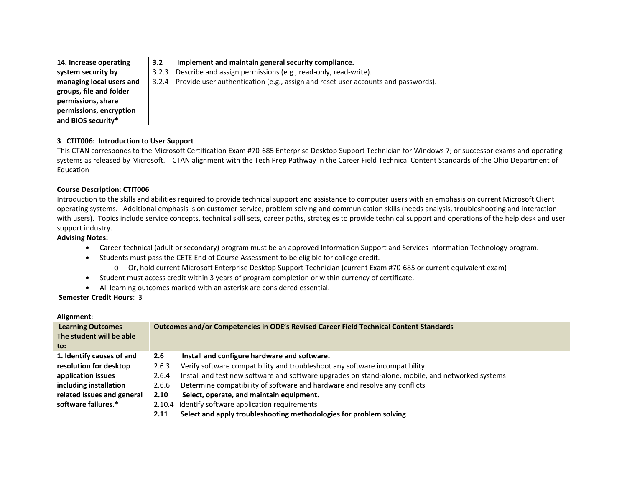| 14. Increase operating   | 3.2   | Implement and maintain general security compliance.                                     |
|--------------------------|-------|-----------------------------------------------------------------------------------------|
| system security by       | 3.2.3 | Describe and assign permissions (e.g., read-only, read-write).                          |
| managing local users and |       | 3.2.4 Provide user authentication (e.g., assign and reset user accounts and passwords). |
| groups, file and folder  |       |                                                                                         |
| permissions, share       |       |                                                                                         |
| permissions, encryption  |       |                                                                                         |
| and BIOS security*       |       |                                                                                         |

## **3**. **CTIT006: Introduction to User Support**

This CTAN corresponds to the Microsoft Certification Exam #70-685 Enterprise Desktop Support Technician for Windows 7; or successor exams and operating systems as released by Microsoft. CTAN alignment with the Tech Prep Pathway in the Career Field Technical Content Standards of the Ohio Department of Education

## **Course Description: CTIT006**

Introduction to the skills and abilities required to provide technical support and assistance to computer users with an emphasis on current Microsoft Client operating systems. Additional emphasis is on customer service, problem solving and communication skills (needs analysis, troubleshooting and interaction with users). Topics include service concepts, technical skill sets, career paths, strategies to provide technical support and operations of the help desk and user support industry.

#### **Advising Notes:**

- Career-technical (adult or secondary) program must be an approved Information Support and Services Information Technology program.
- Students must pass the CETE End of Course Assessment to be eligible for college credit.
	- o Or, hold current Microsoft Enterprise Desktop Support Technician (current Exam #70-685 or current equivalent exam)
- Student must access credit within 3 years of program completion or within currency of certificate.
- All learning outcomes marked with an asterisk are considered essential.

| Alignment: |
|------------|
|------------|

| <b>Learning Outcomes</b>   | Outcomes and/or Competencies in ODE's Revised Career Field Technical Content Standards |                                                                                                   |
|----------------------------|----------------------------------------------------------------------------------------|---------------------------------------------------------------------------------------------------|
| The student will be able   |                                                                                        |                                                                                                   |
| to:                        |                                                                                        |                                                                                                   |
| 1. Identify causes of and  | 2.6                                                                                    | Install and configure hardware and software.                                                      |
| resolution for desktop     | 2.6.3                                                                                  | Verify software compatibility and troubleshoot any software incompatibility                       |
| application issues         | 2.6.4                                                                                  | Install and test new software and software upgrades on stand-alone, mobile, and networked systems |
| including installation     | 2.6.6                                                                                  | Determine compatibility of software and hardware and resolve any conflicts                        |
| related issues and general | 2.10                                                                                   | Select, operate, and maintain equipment.                                                          |
| software failures.*        |                                                                                        | 2.10.4 Identify software application requirements                                                 |
|                            | 2.11                                                                                   | Select and apply troubleshooting methodologies for problem solving                                |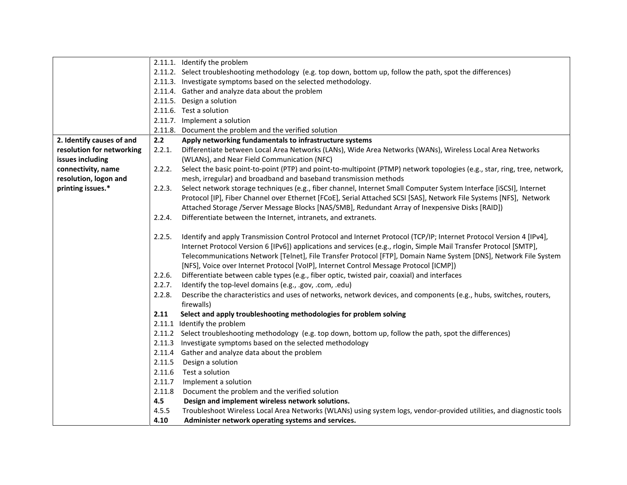|                           |        | 2.11.1. Identify the problem                                                                                              |
|---------------------------|--------|---------------------------------------------------------------------------------------------------------------------------|
|                           |        | 2.11.2. Select troubleshooting methodology (e.g. top down, bottom up, follow the path, spot the differences)              |
|                           |        | 2.11.3. Investigate symptoms based on the selected methodology.                                                           |
|                           |        | 2.11.4. Gather and analyze data about the problem                                                                         |
|                           |        | 2.11.5. Design a solution                                                                                                 |
|                           |        | 2.11.6. Test a solution                                                                                                   |
|                           |        | 2.11.7. Implement a solution                                                                                              |
|                           |        | 2.11.8. Document the problem and the verified solution                                                                    |
| 2. Identify causes of and | 2.2    | Apply networking fundamentals to infrastructure systems                                                                   |
| resolution for networking | 2.2.1. | Differentiate between Local Area Networks (LANs), Wide Area Networks (WANs), Wireless Local Area Networks                 |
| issues including          |        | (WLANs), and Near Field Communication (NFC)                                                                               |
| connectivity, name        | 2.2.2. | Select the basic point-to-point (PTP) and point-to-multipoint (PTMP) network topologies (e.g., star, ring, tree, network, |
| resolution, logon and     |        | mesh, irregular) and broadband and baseband transmission methods                                                          |
| printing issues.*         | 2.2.3. | Select network storage techniques (e.g., fiber channel, Internet Small Computer System Interface [iSCSI], Internet        |
|                           |        | Protocol [IP], Fiber Channel over Ethernet [FCoE], Serial Attached SCSI [SAS], Network File Systems [NFS], Network        |
|                           |        | Attached Storage /Server Message Blocks [NAS/SMB], Redundant Array of Inexpensive Disks [RAID])                           |
|                           | 2.2.4. | Differentiate between the Internet, intranets, and extranets.                                                             |
|                           |        |                                                                                                                           |
|                           | 2.2.5. | Identify and apply Transmission Control Protocol and Internet Protocol (TCP/IP; Internet Protocol Version 4 [IPv4],       |
|                           |        | Internet Protocol Version 6 [IPv6]) applications and services (e.g., rlogin, Simple Mail Transfer Protocol [SMTP],        |
|                           |        | Telecommunications Network [Telnet], File Transfer Protocol [FTP], Domain Name System [DNS], Network File System          |
|                           |        | [NFS], Voice over Internet Protocol [VoIP], Internet Control Message Protocol [ICMP])                                     |
|                           | 2.2.6. | Differentiate between cable types (e.g., fiber optic, twisted pair, coaxial) and interfaces                               |
|                           | 2.2.7. | Identify the top-level domains (e.g., .gov, .com, .edu)                                                                   |
|                           | 2.2.8. | Describe the characteristics and uses of networks, network devices, and components (e.g., hubs, switches, routers,        |
|                           |        | firewalls)                                                                                                                |
|                           | 2.11   | Select and apply troubleshooting methodologies for problem solving                                                        |
|                           |        | 2.11.1 Identify the problem                                                                                               |
|                           |        | 2.11.2 Select troubleshooting methodology (e.g. top down, bottom up, follow the path, spot the differences)               |
|                           | 2.11.3 | Investigate symptoms based on the selected methodology                                                                    |
|                           | 2.11.4 | Gather and analyze data about the problem                                                                                 |
|                           | 2.11.5 | Design a solution                                                                                                         |
|                           | 2.11.6 | Test a solution                                                                                                           |
|                           | 2.11.7 | Implement a solution                                                                                                      |
|                           | 2.11.8 | Document the problem and the verified solution                                                                            |
|                           | 4.5    | Design and implement wireless network solutions.                                                                          |
|                           | 4.5.5  | Troubleshoot Wireless Local Area Networks (WLANs) using system logs, vendor-provided utilities, and diagnostic tools      |
|                           | 4.10   | Administer network operating systems and services.                                                                        |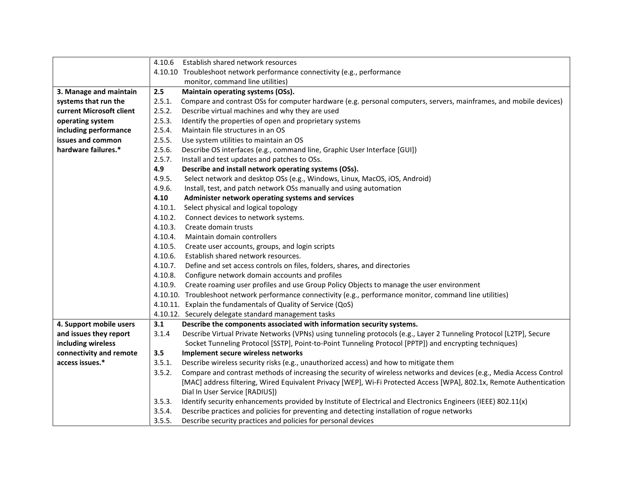|                          | 4.10.6<br>Establish shared network resources                                                                                   |  |
|--------------------------|--------------------------------------------------------------------------------------------------------------------------------|--|
|                          | 4.10.10 Troubleshoot network performance connectivity (e.g., performance                                                       |  |
|                          | monitor, command line utilities)                                                                                               |  |
| 3. Manage and maintain   | 2.5<br>Maintain operating systems (OSs).                                                                                       |  |
| systems that run the     | 2.5.1.<br>Compare and contrast OSs for computer hardware (e.g. personal computers, servers, mainframes, and mobile devices)    |  |
| current Microsoft client | 2.5.2.<br>Describe virtual machines and why they are used                                                                      |  |
| operating system         | 2.5.3.<br>Identify the properties of open and proprietary systems                                                              |  |
| including performance    | 2.5.4.<br>Maintain file structures in an OS                                                                                    |  |
| issues and common        | 2.5.5.<br>Use system utilities to maintain an OS                                                                               |  |
| hardware failures.*      | 2.5.6.<br>Describe OS interfaces (e.g., command line, Graphic User Interface [GUI])                                            |  |
|                          | 2.5.7.<br>Install and test updates and patches to OSs.                                                                         |  |
|                          | 4.9<br>Describe and install network operating systems (OSs).                                                                   |  |
|                          | 4.9.5.<br>Select network and desktop OSs (e.g., Windows, Linux, MacOS, iOS, Android)                                           |  |
|                          | 4.9.6.<br>Install, test, and patch network OSs manually and using automation                                                   |  |
|                          | 4.10<br>Administer network operating systems and services                                                                      |  |
|                          | Select physical and logical topology<br>4.10.1.                                                                                |  |
|                          | 4.10.2.<br>Connect devices to network systems.                                                                                 |  |
|                          | 4.10.3.<br>Create domain trusts                                                                                                |  |
|                          | 4.10.4.<br>Maintain domain controllers                                                                                         |  |
|                          | 4.10.5.<br>Create user accounts, groups, and login scripts                                                                     |  |
|                          | Establish shared network resources.<br>4.10.6.                                                                                 |  |
|                          | 4.10.7.<br>Define and set access controls on files, folders, shares, and directories                                           |  |
|                          | 4.10.8.<br>Configure network domain accounts and profiles                                                                      |  |
|                          | 4.10.9. Create roaming user profiles and use Group Policy Objects to manage the user environment                               |  |
|                          | 4.10.10. Troubleshoot network performance connectivity (e.g., performance monitor, command line utilities)                     |  |
|                          | 4.10.11. Explain the fundamentals of Quality of Service (QoS)                                                                  |  |
|                          | 4.10.12. Securely delegate standard management tasks                                                                           |  |
| 4. Support mobile users  | Describe the components associated with information security systems.<br>3.1                                                   |  |
| and issues they report   | 3.1.4<br>Describe Virtual Private Networks (VPNs) using tunneling protocols (e.g., Layer 2 Tunneling Protocol [L2TP], Secure   |  |
| including wireless       | Socket Tunneling Protocol [SSTP], Point-to-Point Tunneling Protocol [PPTP]) and encrypting techniques)                         |  |
| connectivity and remote  | 3.5<br>Implement secure wireless networks                                                                                      |  |
| access issues.*          | 3.5.1.<br>Describe wireless security risks (e.g., unauthorized access) and how to mitigate them                                |  |
|                          | 3.5.2.<br>Compare and contrast methods of increasing the security of wireless networks and devices (e.g., Media Access Control |  |
|                          | [MAC] address filtering, Wired Equivalent Privacy [WEP], Wi-Fi Protected Access [WPA], 802.1x, Remote Authentication           |  |
|                          | Dial In User Service [RADIUS])                                                                                                 |  |
|                          | Identify security enhancements provided by Institute of Electrical and Electronics Engineers (IEEE) 802.11(x)<br>3.5.3.        |  |
|                          | Describe practices and policies for preventing and detecting installation of rogue networks<br>3.5.4.                          |  |
|                          | 3.5.5.<br>Describe security practices and policies for personal devices                                                        |  |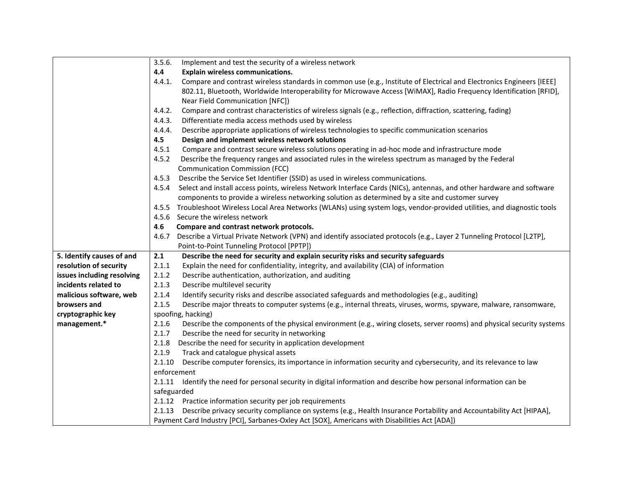|                            | 3.5.6.<br>Implement and test the security of a wireless network                                                                 |
|----------------------------|---------------------------------------------------------------------------------------------------------------------------------|
|                            | 4.4<br><b>Explain wireless communications.</b>                                                                                  |
|                            | Compare and contrast wireless standards in common use (e.g., Institute of Electrical and Electronics Engineers [IEEE]<br>4.4.1. |
|                            | 802.11, Bluetooth, Worldwide Interoperability for Microwave Access [WiMAX], Radio Frequency Identification [RFID],              |
|                            | Near Field Communication [NFC])                                                                                                 |
|                            | 4.4.2.<br>Compare and contrast characteristics of wireless signals (e.g., reflection, diffraction, scattering, fading)          |
|                            | 4.4.3.<br>Differentiate media access methods used by wireless                                                                   |
|                            | Describe appropriate applications of wireless technologies to specific communication scenarios<br>4.4.4.                        |
|                            | 4.5<br>Design and implement wireless network solutions                                                                          |
|                            | 4.5.1<br>Compare and contrast secure wireless solutions operating in ad-hoc mode and infrastructure mode                        |
|                            | 4.5.2<br>Describe the frequency ranges and associated rules in the wireless spectrum as managed by the Federal                  |
|                            | <b>Communication Commission (FCC)</b>                                                                                           |
|                            | 4.5.3<br>Describe the Service Set Identifier (SSID) as used in wireless communications.                                         |
|                            | Select and install access points, wireless Network Interface Cards (NICs), antennas, and other hardware and software<br>4.5.4   |
|                            | components to provide a wireless networking solution as determined by a site and customer survey                                |
|                            | 4.5.5 Troubleshoot Wireless Local Area Networks (WLANs) using system logs, vendor-provided utilities, and diagnostic tools      |
|                            | 4.5.6 Secure the wireless network                                                                                               |
|                            | Compare and contrast network protocols.<br>4.6                                                                                  |
|                            | Describe a Virtual Private Network (VPN) and identify associated protocols (e.g., Layer 2 Tunneling Protocol [L2TP],<br>4.6.7   |
|                            | Point-to-Point Tunneling Protocol [PPTP])                                                                                       |
| 5. Identify causes of and  | 2.1<br>Describe the need for security and explain security risks and security safeguards                                        |
| resolution of security     | Explain the need for confidentiality, integrity, and availability (CIA) of information<br>2.1.1                                 |
| issues including resolving | 2.1.2<br>Describe authentication, authorization, and auditing                                                                   |
| incidents related to       | 2.1.3<br>Describe multilevel security                                                                                           |
| malicious software, web    | 2.1.4<br>Identify security risks and describe associated safeguards and methodologies (e.g., auditing)                          |
| browsers and               | 2.1.5<br>Describe major threats to computer systems (e.g., internal threats, viruses, worms, spyware, malware, ransomware,      |
| cryptographic key          | spoofing, hacking)                                                                                                              |
| management.*               | 2.1.6<br>Describe the components of the physical environment (e.g., wiring closets, server rooms) and physical security systems |
|                            | Describe the need for security in networking<br>2.1.7                                                                           |
|                            | Describe the need for security in application development<br>2.1.8                                                              |
|                            | 2.1.9<br>Track and catalogue physical assets                                                                                    |
|                            | Describe computer forensics, its importance in information security and cybersecurity, and its relevance to law<br>2.1.10       |
|                            | enforcement                                                                                                                     |
|                            | Identify the need for personal security in digital information and describe how personal information can be<br>2.1.11           |
|                            | safeguarded                                                                                                                     |
|                            | Practice information security per job requirements<br>2.1.12                                                                    |
|                            | Describe privacy security compliance on systems (e.g., Health Insurance Portability and Accountability Act [HIPAA],<br>2.1.13   |
|                            | Payment Card Industry [PCI], Sarbanes-Oxley Act [SOX], Americans with Disabilities Act [ADA])                                   |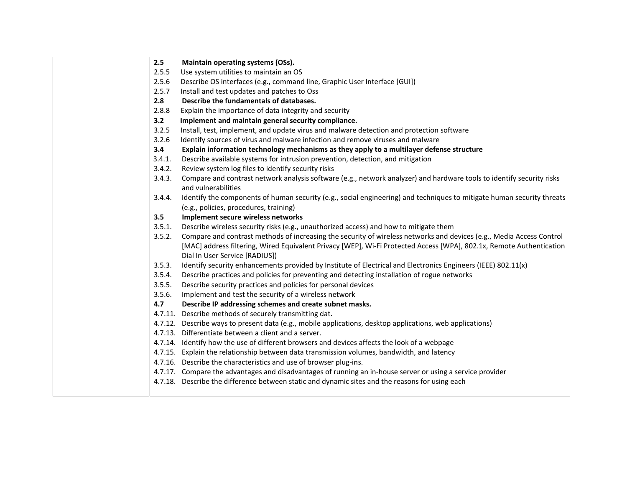| 2.5    | Maintain operating systems (OSs).                                                                                                                                |
|--------|------------------------------------------------------------------------------------------------------------------------------------------------------------------|
| 2.5.5  | Use system utilities to maintain an OS                                                                                                                           |
| 2.5.6  | Describe OS interfaces (e.g., command line, Graphic User Interface [GUI])                                                                                        |
| 2.5.7  | Install and test updates and patches to Oss                                                                                                                      |
| 2.8    | Describe the fundamentals of databases.                                                                                                                          |
| 2.8.8  | Explain the importance of data integrity and security                                                                                                            |
| 3.2    | Implement and maintain general security compliance.                                                                                                              |
| 3.2.5  | Install, test, implement, and update virus and malware detection and protection software                                                                         |
| 3.2.6  | Identify sources of virus and malware infection and remove viruses and malware                                                                                   |
| 3.4    | Explain information technology mechanisms as they apply to a multilayer defense structure                                                                        |
| 3.4.1. | Describe available systems for intrusion prevention, detection, and mitigation                                                                                   |
| 3.4.2. | Review system log files to identify security risks                                                                                                               |
| 3.4.3. | Compare and contrast network analysis software (e.g., network analyzer) and hardware tools to identify security risks<br>and vulnerabilities                     |
| 3.4.4. | Identify the components of human security (e.g., social engineering) and techniques to mitigate human security threats<br>(e.g., policies, procedures, training) |
| 3.5    | Implement secure wireless networks                                                                                                                               |
| 3.5.1. | Describe wireless security risks (e.g., unauthorized access) and how to mitigate them                                                                            |
| 3.5.2. | Compare and contrast methods of increasing the security of wireless networks and devices (e.g., Media Access Control                                             |
|        | [MAC] address filtering, Wired Equivalent Privacy [WEP], Wi-Fi Protected Access [WPA], 802.1x, Remote Authentication<br>Dial In User Service [RADIUS])           |
| 3.5.3. | Identify security enhancements provided by Institute of Electrical and Electronics Engineers (IEEE) 802.11(x)                                                    |
| 3.5.4. | Describe practices and policies for preventing and detecting installation of rogue networks                                                                      |
| 3.5.5. | Describe security practices and policies for personal devices                                                                                                    |
| 3.5.6. | Implement and test the security of a wireless network                                                                                                            |
| 4.7    | Describe IP addressing schemes and create subnet masks.                                                                                                          |
|        | 4.7.11. Describe methods of securely transmitting dat.                                                                                                           |
|        | 4.7.12. Describe ways to present data (e.g., mobile applications, desktop applications, web applications)                                                        |
|        | 4.7.13. Differentiate between a client and a server.                                                                                                             |
|        | 4.7.14. Identify how the use of different browsers and devices affects the look of a webpage                                                                     |
|        | 4.7.15. Explain the relationship between data transmission volumes, bandwidth, and latency                                                                       |
|        | 4.7.16. Describe the characteristics and use of browser plug-ins.                                                                                                |
|        | 4.7.17. Compare the advantages and disadvantages of running an in-house server or using a service provider                                                       |
|        | 4.7.18. Describe the difference between static and dynamic sites and the reasons for using each                                                                  |
|        |                                                                                                                                                                  |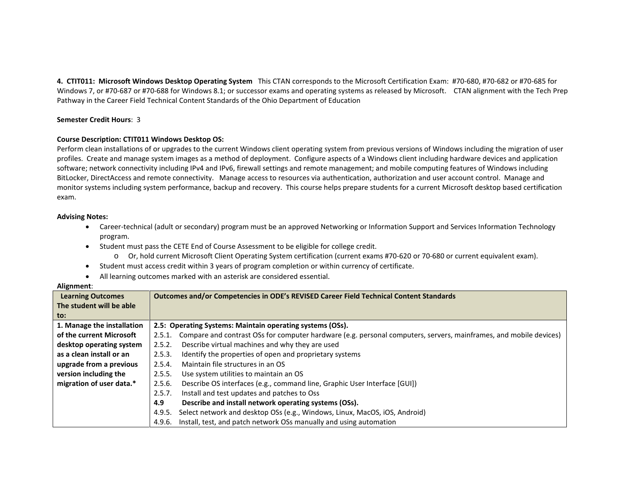**4. CTIT011: Microsoft Windows Desktop Operating System** This CTAN corresponds to the Microsoft Certification Exam: #70-680, #70-682 or #70-685 for Windows 7, or #70-687 or #70-688 for Windows 8.1; or successor exams and operating systems as released by Microsoft. CTAN alignment with the Tech Prep Pathway in the Career Field Technical Content Standards of the Ohio Department of Education

#### **Semester Credit Hours**: 3

#### **Course Description: CTIT011 Windows Desktop OS:**

Perform clean installations of or upgrades to the current Windows client operating system from previous versions of Windows including the migration of user profiles. Create and manage system images as a method of deployment. Configure aspects of a Windows client including hardware devices and application software; network connectivity including IPv4 and IPv6, firewall settings and remote management; and mobile computing features of Windows including BitLocker, DirectAccess and remote connectivity. Manage access to resources via authentication, authorization and user account control. Manage and monitor systems including system performance, backup and recovery. This course helps prepare students for a current Microsoft desktop based certification exam.

#### **Advising Notes:**

- Career-technical (adult or secondary) program must be an approved Networking or Information Support and Services Information Technology program.
- Student must pass the CETE End of Course Assessment to be eligible for college credit.
	- o Or, hold current Microsoft Client Operating System certification (current exams #70-620 or 70-680 or current equivalent exam).
- Student must access credit within 3 years of program completion or within currency of certificate.
- All learning outcomes marked with an asterisk are considered essential.

| <b>Learning Outcomes</b>   | Outcomes and/or Competencies in ODE's REVISED Career Field Technical Content Standards                                      |  |
|----------------------------|-----------------------------------------------------------------------------------------------------------------------------|--|
| The student will be able   |                                                                                                                             |  |
| to:                        |                                                                                                                             |  |
| 1. Manage the installation | 2.5: Operating Systems: Maintain operating systems (OSs).                                                                   |  |
| of the current Microsoft   | Compare and contrast OSs for computer hardware (e.g. personal computers, servers, mainframes, and mobile devices)<br>2.5.1. |  |
| desktop operating system   | Describe virtual machines and why they are used<br>2.5.2.                                                                   |  |
| as a clean install or an   | Identify the properties of open and proprietary systems<br>2.5.3.                                                           |  |
| upgrade from a previous    | Maintain file structures in an OS<br>2.5.4.                                                                                 |  |
| version including the      | 2.5.5.<br>Use system utilities to maintain an OS                                                                            |  |
| migration of user data.*   | Describe OS interfaces (e.g., command line, Graphic User Interface [GUI])<br>2.5.6.                                         |  |
|                            | Install and test updates and patches to Oss<br>2.5.7.                                                                       |  |
|                            | Describe and install network operating systems (OSs).<br>4.9                                                                |  |
|                            | Select network and desktop OSs (e.g., Windows, Linux, MacOS, iOS, Android)<br>4.9.5.                                        |  |
|                            | Install, test, and patch network OSs manually and using automation<br>4.9.6.                                                |  |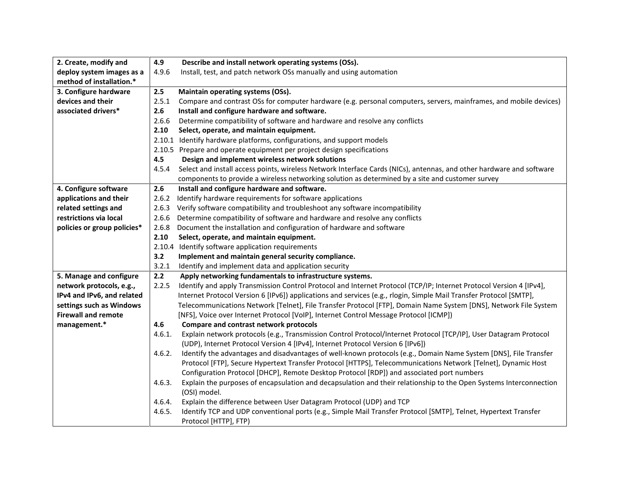| 2. Create, modify and       | 4.9    | Describe and install network operating systems (OSs).                                                                              |
|-----------------------------|--------|------------------------------------------------------------------------------------------------------------------------------------|
| deploy system images as a   | 4.9.6  | Install, test, and patch network OSs manually and using automation                                                                 |
| method of installation.*    |        |                                                                                                                                    |
| 3. Configure hardware       | 2.5    | Maintain operating systems (OSs).                                                                                                  |
| devices and their           | 2.5.1  | Compare and contrast OSs for computer hardware (e.g. personal computers, servers, mainframes, and mobile devices)                  |
| associated drivers*         | 2.6    | Install and configure hardware and software.                                                                                       |
|                             | 2.6.6  | Determine compatibility of software and hardware and resolve any conflicts                                                         |
|                             | 2.10   | Select, operate, and maintain equipment.                                                                                           |
|                             |        | 2.10.1 Identify hardware platforms, configurations, and support models                                                             |
|                             |        | 2.10.5 Prepare and operate equipment per project design specifications                                                             |
|                             | 4.5    | Design and implement wireless network solutions                                                                                    |
|                             | 4.5.4  | Select and install access points, wireless Network Interface Cards (NICs), antennas, and other hardware and software               |
|                             |        | components to provide a wireless networking solution as determined by a site and customer survey                                   |
| 4. Configure software       | 2.6    | Install and configure hardware and software.                                                                                       |
| applications and their      | 2.6.2  | Identify hardware requirements for software applications                                                                           |
| related settings and        | 2.6.3  | Verify software compatibility and troubleshoot any software incompatibility                                                        |
| restrictions via local      | 2.6.6  | Determine compatibility of software and hardware and resolve any conflicts                                                         |
| policies or group policies* | 2.6.8  | Document the installation and configuration of hardware and software                                                               |
|                             | 2.10   | Select, operate, and maintain equipment.                                                                                           |
|                             |        | 2.10.4 Identify software application requirements                                                                                  |
|                             | 3.2    | Implement and maintain general security compliance.                                                                                |
|                             | 3.2.1  | Identify and implement data and application security                                                                               |
| 5. Manage and configure     | 2.2    | Apply networking fundamentals to infrastructure systems.                                                                           |
| network protocols, e.g.,    | 2.2.5  | Identify and apply Transmission Control Protocol and Internet Protocol (TCP/IP; Internet Protocol Version 4 [IPv4],                |
| IPv4 and IPv6, and related  |        | Internet Protocol Version 6 [IPv6]) applications and services (e.g., rlogin, Simple Mail Transfer Protocol [SMTP],                 |
| settings such as Windows    |        | Telecommunications Network [Telnet], File Transfer Protocol [FTP], Domain Name System [DNS], Network File System                   |
| <b>Firewall and remote</b>  |        | [NFS], Voice over Internet Protocol [VoIP], Internet Control Message Protocol [ICMP])                                              |
| management.*                | 4.6    | Compare and contrast network protocols                                                                                             |
|                             | 4.6.1. | Explain network protocols (e.g., Transmission Control Protocol/Internet Protocol [TCP/IP], User Datagram Protocol                  |
|                             |        | (UDP), Internet Protocol Version 4 [IPv4], Internet Protocol Version 6 [IPv6])                                                     |
|                             | 4.6.2. | Identify the advantages and disadvantages of well-known protocols (e.g., Domain Name System [DNS], File Transfer                   |
|                             |        | Protocol [FTP], Secure Hypertext Transfer Protocol [HTTPS], Telecommunications Network [Telnet], Dynamic Host                      |
|                             |        | Configuration Protocol [DHCP], Remote Desktop Protocol [RDP]) and associated port numbers                                          |
|                             | 4.6.3. | Explain the purposes of encapsulation and decapsulation and their relationship to the Open Systems Interconnection<br>(OSI) model. |
|                             | 4.6.4. | Explain the difference between User Datagram Protocol (UDP) and TCP                                                                |
|                             | 4.6.5. | Identify TCP and UDP conventional ports (e.g., Simple Mail Transfer Protocol [SMTP], Telnet, Hypertext Transfer                    |
|                             |        | Protocol [HTTP], FTP)                                                                                                              |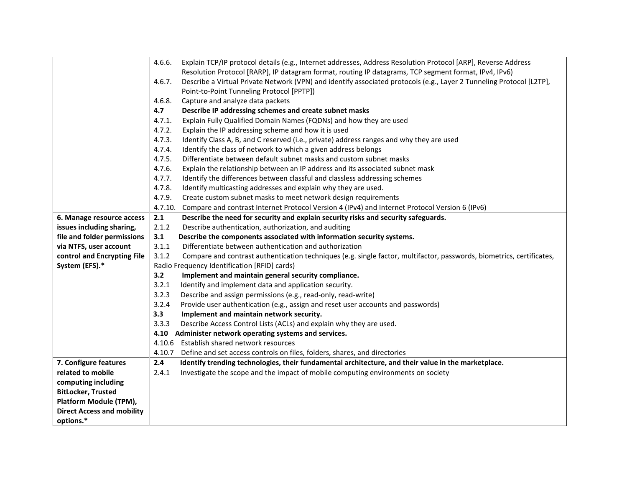|                                   | Explain TCP/IP protocol details (e.g., Internet addresses, Address Resolution Protocol [ARP], Reverse Address<br>4.6.6.        |  |
|-----------------------------------|--------------------------------------------------------------------------------------------------------------------------------|--|
|                                   | Resolution Protocol [RARP], IP datagram format, routing IP datagrams, TCP segment format, IPv4, IPv6)                          |  |
|                                   | Describe a Virtual Private Network (VPN) and identify associated protocols (e.g., Layer 2 Tunneling Protocol [L2TP],<br>4.6.7. |  |
|                                   | Point-to-Point Tunneling Protocol [PPTP])                                                                                      |  |
|                                   | 4.6.8.<br>Capture and analyze data packets                                                                                     |  |
|                                   | 4.7<br>Describe IP addressing schemes and create subnet masks                                                                  |  |
|                                   | 4.7.1.<br>Explain Fully Qualified Domain Names (FQDNs) and how they are used                                                   |  |
|                                   | 4.7.2.<br>Explain the IP addressing scheme and how it is used                                                                  |  |
|                                   | 4.7.3.<br>Identify Class A, B, and C reserved (i.e., private) address ranges and why they are used                             |  |
|                                   | 4.7.4.<br>Identify the class of network to which a given address belongs                                                       |  |
|                                   | 4.7.5.<br>Differentiate between default subnet masks and custom subnet masks                                                   |  |
|                                   | 4.7.6.<br>Explain the relationship between an IP address and its associated subnet mask                                        |  |
|                                   | 4.7.7.<br>Identify the differences between classful and classless addressing schemes                                           |  |
|                                   | 4.7.8.<br>Identify multicasting addresses and explain why they are used.                                                       |  |
|                                   | 4.7.9.<br>Create custom subnet masks to meet network design requirements                                                       |  |
|                                   | 4.7.10.<br>Compare and contrast Internet Protocol Version 4 (IPv4) and Internet Protocol Version 6 (IPv6)                      |  |
| 6. Manage resource access         | 2.1<br>Describe the need for security and explain security risks and security safeguards.                                      |  |
| issues including sharing,         | Describe authentication, authorization, and auditing<br>2.1.2                                                                  |  |
| file and folder permissions       | 3.1<br>Describe the components associated with information security systems.                                                   |  |
| via NTFS, user account            | Differentiate between authentication and authorization<br>3.1.1                                                                |  |
| control and Encrypting File       | 3.1.2<br>Compare and contrast authentication techniques (e.g. single factor, multifactor, passwords, biometrics, certificates, |  |
| System (EFS).*                    | Radio Frequency Identification [RFID] cards)                                                                                   |  |
|                                   | 3.2<br>Implement and maintain general security compliance.                                                                     |  |
|                                   | 3.2.1<br>Identify and implement data and application security.                                                                 |  |
|                                   | 3.2.3<br>Describe and assign permissions (e.g., read-only, read-write)                                                         |  |
|                                   | 3.2.4<br>Provide user authentication (e.g., assign and reset user accounts and passwords)                                      |  |
|                                   | 3.3<br>Implement and maintain network security.                                                                                |  |
|                                   | 3.3.3<br>Describe Access Control Lists (ACLs) and explain why they are used.                                                   |  |
|                                   | 4.10<br>Administer network operating systems and services.                                                                     |  |
|                                   | Establish shared network resources<br>4.10.6                                                                                   |  |
|                                   | 4.10.7<br>Define and set access controls on files, folders, shares, and directories                                            |  |
| 7. Configure features             | Identify trending technologies, their fundamental architecture, and their value in the marketplace.<br>2.4                     |  |
| related to mobile                 | Investigate the scope and the impact of mobile computing environments on society<br>2.4.1                                      |  |
| computing including               |                                                                                                                                |  |
| <b>BitLocker, Trusted</b>         |                                                                                                                                |  |
| Platform Module (TPM),            |                                                                                                                                |  |
| <b>Direct Access and mobility</b> |                                                                                                                                |  |
| options.*                         |                                                                                                                                |  |